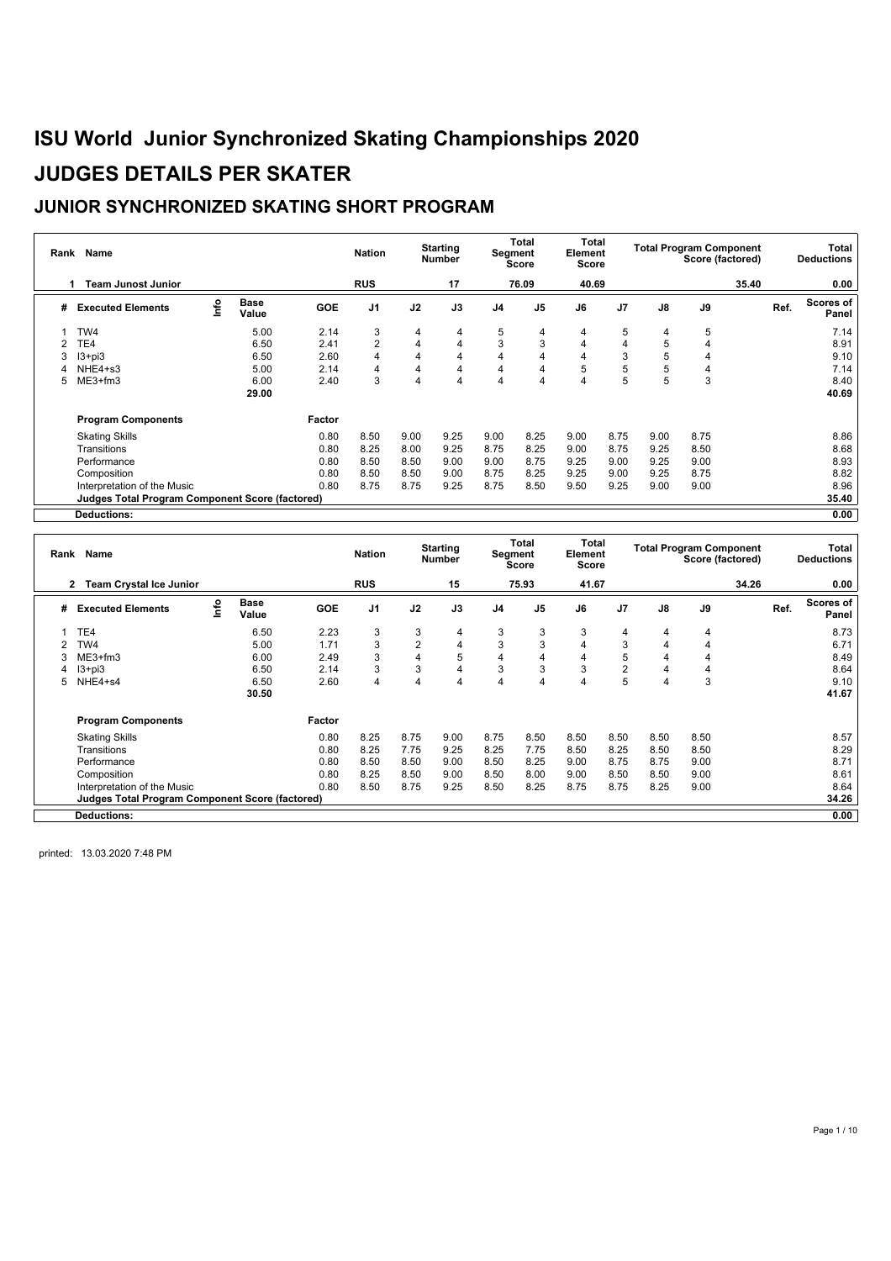### **JUNIOR SYNCHRONIZED SKATING SHORT PROGRAM**

| Rank | Name                                            |      |                      |            | <b>Nation</b>  |      | <b>Starting</b><br><b>Number</b> |                         | Total<br>Segment<br><b>Score</b> | Total<br>Element<br><b>Score</b> |                |               | <b>Total Program Component</b><br>Score (factored) |       |      | Total<br><b>Deductions</b> |
|------|-------------------------------------------------|------|----------------------|------------|----------------|------|----------------------------------|-------------------------|----------------------------------|----------------------------------|----------------|---------------|----------------------------------------------------|-------|------|----------------------------|
|      | <b>Team Junost Junior</b>                       |      |                      |            | <b>RUS</b>     |      | 17                               |                         | 76.09                            | 40.69                            |                |               |                                                    | 35.40 |      | 0.00                       |
| #    | <b>Executed Elements</b>                        | Info | <b>Base</b><br>Value | <b>GOE</b> | J <sub>1</sub> | J2   | J3                               | J <sub>4</sub>          | J <sub>5</sub>                   | J6                               | J <sub>7</sub> | $\mathsf{J}8$ | J9                                                 |       | Ref. | Scores of<br>Panel         |
|      | TW4                                             |      | 5.00                 | 2.14       | 3              | 4    | 4                                | 5                       | 4                                | 4                                | 5              | 4             | 5                                                  |       |      | 7.14                       |
|      | TE4                                             |      | 6.50                 | 2.41       | 2              | 4    | 4                                | 3                       | 3                                | 4                                | 4              | 5             |                                                    |       |      | 8.91                       |
|      | $13 + pi3$                                      |      | 6.50                 | 2.60       | 4              | 4    | 4                                | 4                       | 4                                | 4                                | 3              | 5             |                                                    |       |      | 9.10                       |
|      | NHE4+s3                                         |      | 5.00                 | 2.14       | 4              | 4    | $\overline{4}$                   | 4                       | 4                                | 5                                | 5              | 5             |                                                    |       |      | 7.14                       |
| 5.   | $ME3+fm3$                                       |      | 6.00                 | 2.40       | 3              | 4    | $\overline{4}$                   | $\overline{\mathbf{4}}$ | $\overline{4}$                   | 4                                | 5              | 5             | 3                                                  |       |      | 8.40                       |
|      |                                                 |      | 29.00                |            |                |      |                                  |                         |                                  |                                  |                |               |                                                    |       |      | 40.69                      |
|      | <b>Program Components</b>                       |      |                      | Factor     |                |      |                                  |                         |                                  |                                  |                |               |                                                    |       |      |                            |
|      | <b>Skating Skills</b>                           |      |                      | 0.80       | 8.50           | 9.00 | 9.25                             | 9.00                    | 8.25                             | 9.00                             | 8.75           | 9.00          | 8.75                                               |       |      | 8.86                       |
|      | Transitions                                     |      |                      | 0.80       | 8.25           | 8.00 | 9.25                             | 8.75                    | 8.25                             | 9.00                             | 8.75           | 9.25          | 8.50                                               |       |      | 8.68                       |
|      | Performance                                     |      |                      | 0.80       | 8.50           | 8.50 | 9.00                             | 9.00                    | 8.75                             | 9.25                             | 9.00           | 9.25          | 9.00                                               |       |      | 8.93                       |
|      | Composition                                     |      |                      | 0.80       | 8.50           | 8.50 | 9.00                             | 8.75                    | 8.25                             | 9.25                             | 9.00           | 9.25          | 8.75                                               |       |      | 8.82                       |
|      | Interpretation of the Music                     |      |                      | 0.80       | 8.75           | 8.75 | 9.25                             | 8.75                    | 8.50                             | 9.50                             | 9.25           | 9.00          | 9.00                                               |       |      | 8.96                       |
|      | Judges Total Program Component Score (factored) |      |                      |            |                |      |                                  |                         |                                  |                                  |                |               |                                                    |       |      | 35.40                      |
|      | Deductions:                                     |      |                      |            |                |      |                                  |                         |                                  |                                  |                |               |                                                    |       |      | 0.00                       |

| Rank | Name                                                   |      |                      |            | <b>Nation</b>  |                | <b>Starting</b><br><b>Number</b> |                         | Total<br>Segment<br><b>Score</b> | Total<br>Element<br>Score |                |                | <b>Total Program Component</b><br>Score (factored) |       |      | <b>Total</b><br><b>Deductions</b> |
|------|--------------------------------------------------------|------|----------------------|------------|----------------|----------------|----------------------------------|-------------------------|----------------------------------|---------------------------|----------------|----------------|----------------------------------------------------|-------|------|-----------------------------------|
|      | <b>Team Crystal Ice Junior</b><br>2                    |      |                      |            | <b>RUS</b>     |                | 15                               |                         | 75.93                            | 41.67                     |                |                |                                                    | 34.26 |      | 0.00                              |
| #    | <b>Executed Elements</b>                               | lnfo | <b>Base</b><br>Value | <b>GOE</b> | J <sub>1</sub> | J2             | J3                               | J <sub>4</sub>          | J <sub>5</sub>                   | J6                        | J <sub>7</sub> | J8             | J9                                                 |       | Ref. | <b>Scores of</b><br>Panel         |
|      | TE <sub>4</sub>                                        |      | 6.50                 | 2.23       | 3              | 3              | 4                                | 3                       | 3                                | 3                         | 4              | 4              | 4                                                  |       |      | 8.73                              |
|      | TW4                                                    |      | 5.00                 | 1.71       | 3              | $\overline{2}$ | 4                                | 3                       | 3                                | 4                         | 3              | 4              | 4                                                  |       |      | 6.71                              |
|      | $ME3+fm3$                                              |      | 6.00                 | 2.49       | 3              | 4              | 5                                | 4                       | 4                                | 4                         | 5              | 4              | 4                                                  |       |      | 8.49                              |
| 4    | $13 + pi3$                                             |      | 6.50                 | 2.14       | 3              | 3              | 4                                | 3                       | 3                                | 3                         | $\overline{2}$ | $\overline{4}$ | 4                                                  |       |      | 8.64                              |
| 5    | NHE4+s4                                                |      | 6.50                 | 2.60       | 4              | 4              | 4                                | $\overline{\mathbf{4}}$ | 4                                | 4                         | 5              | 4              | 3                                                  |       |      | 9.10                              |
|      |                                                        |      | 30.50                |            |                |                |                                  |                         |                                  |                           |                |                |                                                    |       |      | 41.67                             |
|      | <b>Program Components</b>                              |      |                      | Factor     |                |                |                                  |                         |                                  |                           |                |                |                                                    |       |      |                                   |
|      | <b>Skating Skills</b>                                  |      |                      | 0.80       | 8.25           | 8.75           | 9.00                             | 8.75                    | 8.50                             | 8.50                      | 8.50           | 8.50           | 8.50                                               |       |      | 8.57                              |
|      | Transitions                                            |      |                      | 0.80       | 8.25           | 7.75           | 9.25                             | 8.25                    | 7.75                             | 8.50                      | 8.25           | 8.50           | 8.50                                               |       |      | 8.29                              |
|      | Performance                                            |      |                      | 0.80       | 8.50           | 8.50           | 9.00                             | 8.50                    | 8.25                             | 9.00                      | 8.75           | 8.75           | 9.00                                               |       |      | 8.71                              |
|      | Composition                                            |      |                      | 0.80       | 8.25           | 8.50           | 9.00                             | 8.50                    | 8.00                             | 9.00                      | 8.50           | 8.50           | 9.00                                               |       |      | 8.61                              |
|      | Interpretation of the Music                            |      |                      | 0.80       | 8.50           | 8.75           | 9.25                             | 8.50                    | 8.25                             | 8.75                      | 8.75           | 8.25           | 9.00                                               |       |      | 8.64                              |
|      | <b>Judges Total Program Component Score (factored)</b> |      |                      |            |                |                |                                  |                         |                                  |                           |                |                |                                                    |       |      | 34.26                             |
|      | <b>Deductions:</b>                                     |      |                      |            |                |                |                                  |                         |                                  |                           |                |                |                                                    |       |      | 0.00                              |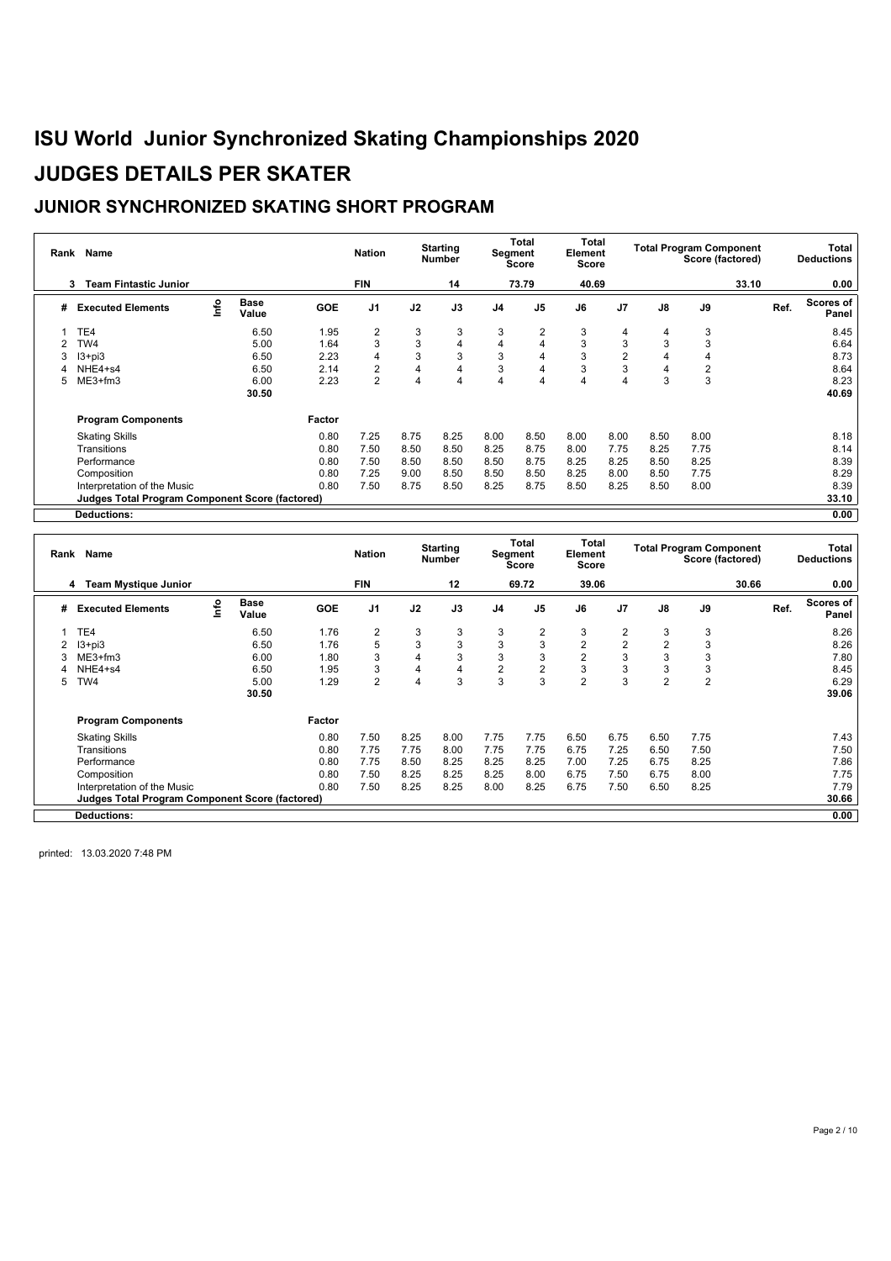### **JUNIOR SYNCHRONIZED SKATING SHORT PROGRAM**

| Rank | Name                                            |      |                      |            | <b>Nation</b>  |      | <b>Starting</b><br><b>Number</b> |                | Total<br>Segment<br>Score | Total<br>Element<br>Score |                |               | <b>Total Program Component</b><br>Score (factored) |       |      | Total<br><b>Deductions</b> |
|------|-------------------------------------------------|------|----------------------|------------|----------------|------|----------------------------------|----------------|---------------------------|---------------------------|----------------|---------------|----------------------------------------------------|-------|------|----------------------------|
|      | <b>Team Fintastic Junior</b><br>3               |      |                      |            | <b>FIN</b>     |      | 14                               |                | 73.79                     | 40.69                     |                |               |                                                    | 33.10 |      | 0.00                       |
| #    | <b>Executed Elements</b>                        | Info | <b>Base</b><br>Value | <b>GOE</b> | J <sub>1</sub> | J2   | J3                               | J <sub>4</sub> | J <sub>5</sub>            | J6                        | J <sub>7</sub> | $\mathsf{J}8$ | J9                                                 |       | Ref. | Scores of<br>Panel         |
|      | TE4                                             |      | 6.50                 | 1.95       | $\overline{2}$ | 3    | 3                                | 3              | $\overline{2}$            | 3                         | 4              | 4             | 3                                                  |       |      | 8.45                       |
|      | TW4                                             |      | 5.00                 | 1.64       | 3              | 3    | $\overline{4}$                   | 4              | $\overline{4}$            | 3                         | 3              | 3             | 3                                                  |       |      | 6.64                       |
| 3    | $13 + pi3$                                      |      | 6.50                 | 2.23       | 4              | 3    | 3                                | 3              | 4                         | 3                         | $\overline{2}$ | 4             |                                                    |       |      | 8.73                       |
|      | NHE4+s4                                         |      | 6.50                 | 2.14       | $\overline{2}$ | 4    | $\overline{4}$                   | 3              | 4                         | 3                         | 3              |               | $\overline{2}$                                     |       |      | 8.64                       |
| 5.   | $ME3+fm3$                                       |      | 6.00                 | 2.23       | $\overline{2}$ | 4    | $\overline{4}$                   | $\overline{4}$ | $\overline{4}$            | 4                         | 4              | 3             | 3                                                  |       |      | 8.23                       |
|      |                                                 |      | 30.50                |            |                |      |                                  |                |                           |                           |                |               |                                                    |       |      | 40.69                      |
|      | <b>Program Components</b>                       |      |                      | Factor     |                |      |                                  |                |                           |                           |                |               |                                                    |       |      |                            |
|      | <b>Skating Skills</b>                           |      |                      | 0.80       | 7.25           | 8.75 | 8.25                             | 8.00           | 8.50                      | 8.00                      | 8.00           | 8.50          | 8.00                                               |       |      | 8.18                       |
|      | Transitions                                     |      |                      | 0.80       | 7.50           | 8.50 | 8.50                             | 8.25           | 8.75                      | 8.00                      | 7.75           | 8.25          | 7.75                                               |       |      | 8.14                       |
|      | Performance                                     |      |                      | 0.80       | 7.50           | 8.50 | 8.50                             | 8.50           | 8.75                      | 8.25                      | 8.25           | 8.50          | 8.25                                               |       |      | 8.39                       |
|      | Composition                                     |      |                      | 0.80       | 7.25           | 9.00 | 8.50                             | 8.50           | 8.50                      | 8.25                      | 8.00           | 8.50          | 7.75                                               |       |      | 8.29                       |
|      | Interpretation of the Music                     |      |                      | 0.80       | 7.50           | 8.75 | 8.50                             | 8.25           | 8.75                      | 8.50                      | 8.25           | 8.50          | 8.00                                               |       |      | 8.39                       |
|      | Judges Total Program Component Score (factored) |      |                      |            |                |      |                                  |                |                           |                           |                |               |                                                    |       |      | 33.10                      |
|      | Deductions:                                     |      |                      |            |                |      |                                  |                |                           |                           |                |               |                                                    |       |      | 0.00                       |

| Rank | Name                                                   |      |                      |            | <b>Nation</b>  |      | <b>Starting</b><br><b>Number</b> |                | Total<br>Segment<br>Score | Total<br>Element<br>Score |                |                | <b>Total Program Component</b><br>Score (factored) |       |      | Total<br><b>Deductions</b> |
|------|--------------------------------------------------------|------|----------------------|------------|----------------|------|----------------------------------|----------------|---------------------------|---------------------------|----------------|----------------|----------------------------------------------------|-------|------|----------------------------|
|      | <b>Team Mystique Junior</b><br>4                       |      |                      |            | <b>FIN</b>     |      | 12                               |                | 69.72                     | 39.06                     |                |                |                                                    | 30.66 |      | 0.00                       |
| #    | <b>Executed Elements</b>                               | Info | <b>Base</b><br>Value | <b>GOE</b> | J <sub>1</sub> | J2   | J3                               | J <sub>4</sub> | J <sub>5</sub>            | J6                        | J <sub>7</sub> | J8             | J9                                                 |       | Ref. | <b>Scores of</b><br>Panel  |
|      | TE4                                                    |      | 6.50                 | 1.76       | 2              | 3    | 3                                | 3              | 2                         | 3                         | 2              | 3              | 3                                                  |       |      | 8.26                       |
|      | $13 + pi3$                                             |      | 6.50                 | 1.76       | 5              | 3    | 3                                | 3              | 3                         | $\overline{2}$            | 2              | $\overline{2}$ | 3                                                  |       |      | 8.26                       |
|      | $ME3+fm3$                                              |      | 6.00                 | 1.80       | 3              | 4    | 3                                | 3              | 3                         | $\overline{2}$            | 3              | 3              | 3                                                  |       |      | 7.80                       |
|      | NHE4+s4                                                |      | 6.50                 | 1.95       | 3              | 4    | 4                                | $\overline{2}$ | $\overline{2}$            | 3                         | 3              | 3              | 3                                                  |       |      | 8.45                       |
| 5    | TW4                                                    |      | 5.00                 | 1.29       | $\overline{2}$ | 4    | 3                                | 3              | 3                         | $\overline{2}$            | 3              | $\overline{2}$ | $\overline{2}$                                     |       |      | 6.29                       |
|      |                                                        |      | 30.50                |            |                |      |                                  |                |                           |                           |                |                |                                                    |       |      | 39.06                      |
|      | <b>Program Components</b>                              |      |                      | Factor     |                |      |                                  |                |                           |                           |                |                |                                                    |       |      |                            |
|      | <b>Skating Skills</b>                                  |      |                      | 0.80       | 7.50           | 8.25 | 8.00                             | 7.75           | 7.75                      | 6.50                      | 6.75           | 6.50           | 7.75                                               |       |      | 7.43                       |
|      | Transitions                                            |      |                      | 0.80       | 7.75           | 7.75 | 8.00                             | 7.75           | 7.75                      | 6.75                      | 7.25           | 6.50           | 7.50                                               |       |      | 7.50                       |
|      | Performance                                            |      |                      | 0.80       | 7.75           | 8.50 | 8.25                             | 8.25           | 8.25                      | 7.00                      | 7.25           | 6.75           | 8.25                                               |       |      | 7.86                       |
|      | Composition                                            |      |                      | 0.80       | 7.50           | 8.25 | 8.25                             | 8.25           | 8.00                      | 6.75                      | 7.50           | 6.75           | 8.00                                               |       |      | 7.75                       |
|      | Interpretation of the Music                            |      |                      | 0.80       | 7.50           | 8.25 | 8.25                             | 8.00           | 8.25                      | 6.75                      | 7.50           | 6.50           | 8.25                                               |       |      | 7.79                       |
|      | <b>Judges Total Program Component Score (factored)</b> |      |                      |            |                |      |                                  |                |                           |                           |                |                |                                                    |       |      | 30.66                      |
|      | <b>Deductions:</b>                                     |      |                      |            |                |      |                                  |                |                           |                           |                |                |                                                    |       |      | 0.00                       |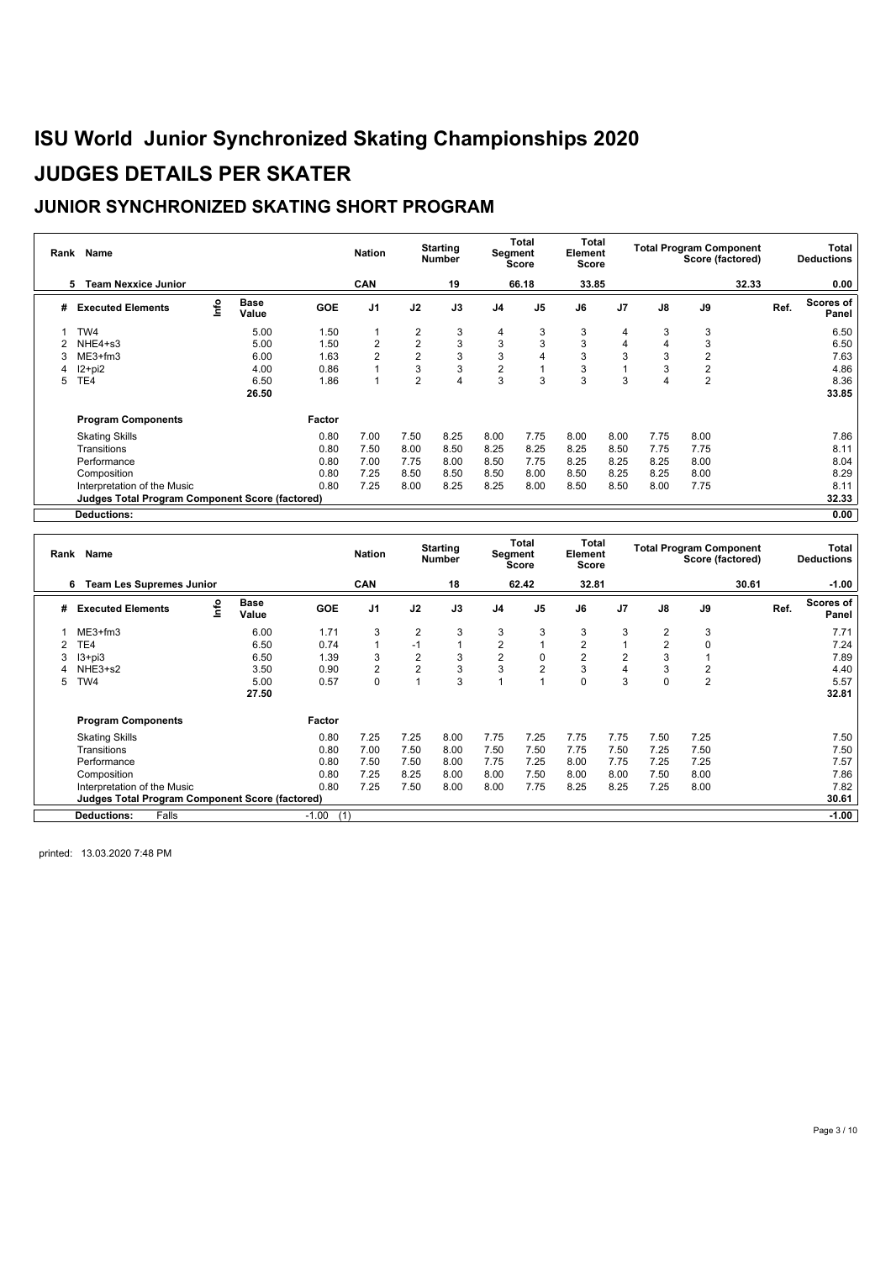### **JUNIOR SYNCHRONIZED SKATING SHORT PROGRAM**

| Rank | Name                                                   |      |                      |            | <b>Nation</b>  |                | <b>Starting</b><br><b>Number</b> |                | Total<br>Segment<br><b>Score</b> | Total<br>Element<br><b>Score</b> |                |               | <b>Total Program Component</b><br>Score (factored) |       | Total<br><b>Deductions</b> |
|------|--------------------------------------------------------|------|----------------------|------------|----------------|----------------|----------------------------------|----------------|----------------------------------|----------------------------------|----------------|---------------|----------------------------------------------------|-------|----------------------------|
|      | <b>Team Nexxice Junior</b><br>5                        |      |                      |            | CAN            |                | 19                               |                | 66.18                            | 33.85                            |                |               |                                                    | 32.33 | 0.00                       |
| #    | <b>Executed Elements</b>                               | Info | <b>Base</b><br>Value | <b>GOE</b> | J <sub>1</sub> | J2             | J3                               | J <sub>4</sub> | J <sub>5</sub>                   | J6                               | J <sub>7</sub> | $\mathsf{J}8$ | J9                                                 |       | Scores of<br>Ref.<br>Panel |
|      | TW4                                                    |      | 5.00                 | 1.50       |                | 2              | 3                                | 4              | 3                                | 3                                | 4              | 3             | 3                                                  |       | 6.50                       |
|      | NHE4+s3                                                |      | 5.00                 | 1.50       | 2              | $\overline{2}$ | 3                                | 3              | 3                                | 3                                | 4              |               | 3                                                  |       | 6.50                       |
|      | $ME3+fm3$                                              |      | 6.00                 | 1.63       | $\overline{2}$ | $\overline{2}$ | 3                                | 3              | 4                                | 3                                | 3              | 3             | $\overline{2}$                                     |       | 7.63                       |
|      | $12+pi2$                                               |      | 4.00                 | 0.86       |                | 3              | 3                                | $\overline{2}$ |                                  | 3                                |                |               | $\overline{2}$                                     |       | 4.86                       |
| 5    | TE4                                                    |      | 6.50                 | 1.86       |                | $\overline{2}$ | $\overline{4}$                   | 3              | 3                                | 3                                | 3              |               | $\overline{2}$                                     |       | 8.36                       |
|      |                                                        |      | 26.50                |            |                |                |                                  |                |                                  |                                  |                |               |                                                    |       | 33.85                      |
|      | <b>Program Components</b>                              |      |                      | Factor     |                |                |                                  |                |                                  |                                  |                |               |                                                    |       |                            |
|      | <b>Skating Skills</b>                                  |      |                      | 0.80       | 7.00           | 7.50           | 8.25                             | 8.00           | 7.75                             | 8.00                             | 8.00           | 7.75          | 8.00                                               |       | 7.86                       |
|      | Transitions                                            |      |                      | 0.80       | 7.50           | 8.00           | 8.50                             | 8.25           | 8.25                             | 8.25                             | 8.50           | 7.75          | 7.75                                               |       | 8.11                       |
|      | Performance                                            |      |                      | 0.80       | 7.00           | 7.75           | 8.00                             | 8.50           | 7.75                             | 8.25                             | 8.25           | 8.25          | 8.00                                               |       | 8.04                       |
|      | Composition                                            |      |                      | 0.80       | 7.25           | 8.50           | 8.50                             | 8.50           | 8.00                             | 8.50                             | 8.25           | 8.25          | 8.00                                               |       | 8.29                       |
|      | Interpretation of the Music                            |      |                      | 0.80       | 7.25           | 8.00           | 8.25                             | 8.25           | 8.00                             | 8.50                             | 8.50           | 8.00          | 7.75                                               |       | 8.11                       |
|      | <b>Judges Total Program Component Score (factored)</b> |      |                      |            |                |                |                                  |                |                                  |                                  |                |               |                                                    |       | 32.33                      |
|      | Deductions:                                            |      |                      |            |                |                |                                  |                |                                  |                                  |                |               |                                                    |       | 0.00                       |

| <b>CAN</b><br>18<br>62.42<br>32.81<br>30.61<br>$-1.00$<br><b>Team Les Supremes Junior</b><br>6<br><b>Base</b><br>Scores of<br>Info<br>J3<br>J <sub>1</sub><br>J2<br>J <sub>4</sub><br>J <sub>5</sub><br>J7<br>J8<br>J9<br>Ref.<br><b>Executed Elements</b><br><b>GOE</b><br>J6<br>#<br>Value<br>Panel<br>3<br>3<br>3<br>3<br>$\overline{2}$<br>3<br>3<br>$\overline{2}$<br>3<br>$ME3+fm3$<br>6.00<br>1.71<br>7.71<br>$\overline{2}$<br>$\overline{2}$<br>2<br>TE4<br>0.74<br>$\Omega$<br>7.24<br>6.50<br>$-1$<br>2<br>2<br>2<br>$\overline{2}$<br>3<br>$\mathbf 0$<br>$\overline{2}$<br>3<br>3<br>7.89<br>$13 + pi3$<br>6.50<br>1.39<br>$\overline{2}$<br>$\overline{2}$<br>3<br>3<br>3<br>$\overline{2}$<br>3<br>4<br>4.40<br>NHE3+s2<br>3.50<br>2<br>0.90<br>3<br>3<br>$\overline{2}$<br>0<br>0<br>5.57<br>TW4<br>5.00<br>0.57<br>0<br>5<br>32.81<br>27.50<br><b>Program Components</b><br>Factor<br>7.75<br>7.25<br>7.50<br>0.80<br>7.25<br>7.25<br>8.00<br>7.25<br>7.75<br>7.75<br>7.50<br><b>Skating Skills</b><br>7.50<br>7.50<br>7.50<br>0.80<br>7.00<br>8.00<br>7.50<br>7.75<br>7.25<br>7.50<br>Transitions<br>7.50<br>7.57<br>0.80<br>7.50<br>7.50<br>8.00<br>7.75<br>7.25<br>7.25<br>Performance<br>8.00<br>7.25<br>7.75<br>7.86<br>7.25<br>8.25<br>0.80<br>8.00<br>8.00<br>7.50<br>7.50<br>8.00<br>Composition<br>8.00<br>8.00<br>7.82<br>7.25<br>7.50<br>8.00<br>8.00<br>7.75<br>8.25<br>7.25<br>0.80<br>8.25<br>8.00<br>Interpretation of the Music<br><b>Judges Total Program Component Score (factored)</b><br>30.61 | Rank Name                   |  |                | <b>Nation</b> | <b>Starting</b><br><b>Number</b> | Total<br>Segment<br><b>Score</b> | Total<br>Element<br>Score |  | <b>Total Program Component</b> | Score (factored) | Total<br><b>Deductions</b> |
|-------------------------------------------------------------------------------------------------------------------------------------------------------------------------------------------------------------------------------------------------------------------------------------------------------------------------------------------------------------------------------------------------------------------------------------------------------------------------------------------------------------------------------------------------------------------------------------------------------------------------------------------------------------------------------------------------------------------------------------------------------------------------------------------------------------------------------------------------------------------------------------------------------------------------------------------------------------------------------------------------------------------------------------------------------------------------------------------------------------------------------------------------------------------------------------------------------------------------------------------------------------------------------------------------------------------------------------------------------------------------------------------------------------------------------------------------------------------------------------------------------------------------------------|-----------------------------|--|----------------|---------------|----------------------------------|----------------------------------|---------------------------|--|--------------------------------|------------------|----------------------------|
|                                                                                                                                                                                                                                                                                                                                                                                                                                                                                                                                                                                                                                                                                                                                                                                                                                                                                                                                                                                                                                                                                                                                                                                                                                                                                                                                                                                                                                                                                                                                     |                             |  |                |               |                                  |                                  |                           |  |                                |                  |                            |
|                                                                                                                                                                                                                                                                                                                                                                                                                                                                                                                                                                                                                                                                                                                                                                                                                                                                                                                                                                                                                                                                                                                                                                                                                                                                                                                                                                                                                                                                                                                                     |                             |  |                |               |                                  |                                  |                           |  |                                |                  |                            |
|                                                                                                                                                                                                                                                                                                                                                                                                                                                                                                                                                                                                                                                                                                                                                                                                                                                                                                                                                                                                                                                                                                                                                                                                                                                                                                                                                                                                                                                                                                                                     |                             |  |                |               |                                  |                                  |                           |  |                                |                  |                            |
|                                                                                                                                                                                                                                                                                                                                                                                                                                                                                                                                                                                                                                                                                                                                                                                                                                                                                                                                                                                                                                                                                                                                                                                                                                                                                                                                                                                                                                                                                                                                     |                             |  |                |               |                                  |                                  |                           |  |                                |                  |                            |
|                                                                                                                                                                                                                                                                                                                                                                                                                                                                                                                                                                                                                                                                                                                                                                                                                                                                                                                                                                                                                                                                                                                                                                                                                                                                                                                                                                                                                                                                                                                                     |                             |  |                |               |                                  |                                  |                           |  |                                |                  |                            |
|                                                                                                                                                                                                                                                                                                                                                                                                                                                                                                                                                                                                                                                                                                                                                                                                                                                                                                                                                                                                                                                                                                                                                                                                                                                                                                                                                                                                                                                                                                                                     |                             |  |                |               |                                  |                                  |                           |  |                                |                  |                            |
|                                                                                                                                                                                                                                                                                                                                                                                                                                                                                                                                                                                                                                                                                                                                                                                                                                                                                                                                                                                                                                                                                                                                                                                                                                                                                                                                                                                                                                                                                                                                     |                             |  |                |               |                                  |                                  |                           |  |                                |                  |                            |
|                                                                                                                                                                                                                                                                                                                                                                                                                                                                                                                                                                                                                                                                                                                                                                                                                                                                                                                                                                                                                                                                                                                                                                                                                                                                                                                                                                                                                                                                                                                                     |                             |  |                |               |                                  |                                  |                           |  |                                |                  |                            |
|                                                                                                                                                                                                                                                                                                                                                                                                                                                                                                                                                                                                                                                                                                                                                                                                                                                                                                                                                                                                                                                                                                                                                                                                                                                                                                                                                                                                                                                                                                                                     |                             |  |                |               |                                  |                                  |                           |  |                                |                  |                            |
|                                                                                                                                                                                                                                                                                                                                                                                                                                                                                                                                                                                                                                                                                                                                                                                                                                                                                                                                                                                                                                                                                                                                                                                                                                                                                                                                                                                                                                                                                                                                     |                             |  |                |               |                                  |                                  |                           |  |                                |                  |                            |
|                                                                                                                                                                                                                                                                                                                                                                                                                                                                                                                                                                                                                                                                                                                                                                                                                                                                                                                                                                                                                                                                                                                                                                                                                                                                                                                                                                                                                                                                                                                                     |                             |  |                |               |                                  |                                  |                           |  |                                |                  |                            |
|                                                                                                                                                                                                                                                                                                                                                                                                                                                                                                                                                                                                                                                                                                                                                                                                                                                                                                                                                                                                                                                                                                                                                                                                                                                                                                                                                                                                                                                                                                                                     |                             |  |                |               |                                  |                                  |                           |  |                                |                  |                            |
|                                                                                                                                                                                                                                                                                                                                                                                                                                                                                                                                                                                                                                                                                                                                                                                                                                                                                                                                                                                                                                                                                                                                                                                                                                                                                                                                                                                                                                                                                                                                     |                             |  |                |               |                                  |                                  |                           |  |                                |                  |                            |
|                                                                                                                                                                                                                                                                                                                                                                                                                                                                                                                                                                                                                                                                                                                                                                                                                                                                                                                                                                                                                                                                                                                                                                                                                                                                                                                                                                                                                                                                                                                                     |                             |  |                |               |                                  |                                  |                           |  |                                |                  |                            |
|                                                                                                                                                                                                                                                                                                                                                                                                                                                                                                                                                                                                                                                                                                                                                                                                                                                                                                                                                                                                                                                                                                                                                                                                                                                                                                                                                                                                                                                                                                                                     |                             |  |                |               |                                  |                                  |                           |  |                                |                  |                            |
|                                                                                                                                                                                                                                                                                                                                                                                                                                                                                                                                                                                                                                                                                                                                                                                                                                                                                                                                                                                                                                                                                                                                                                                                                                                                                                                                                                                                                                                                                                                                     | <b>Deductions:</b><br>Falls |  | $-1.00$<br>(1) |               |                                  |                                  |                           |  |                                |                  | $-1.00$                    |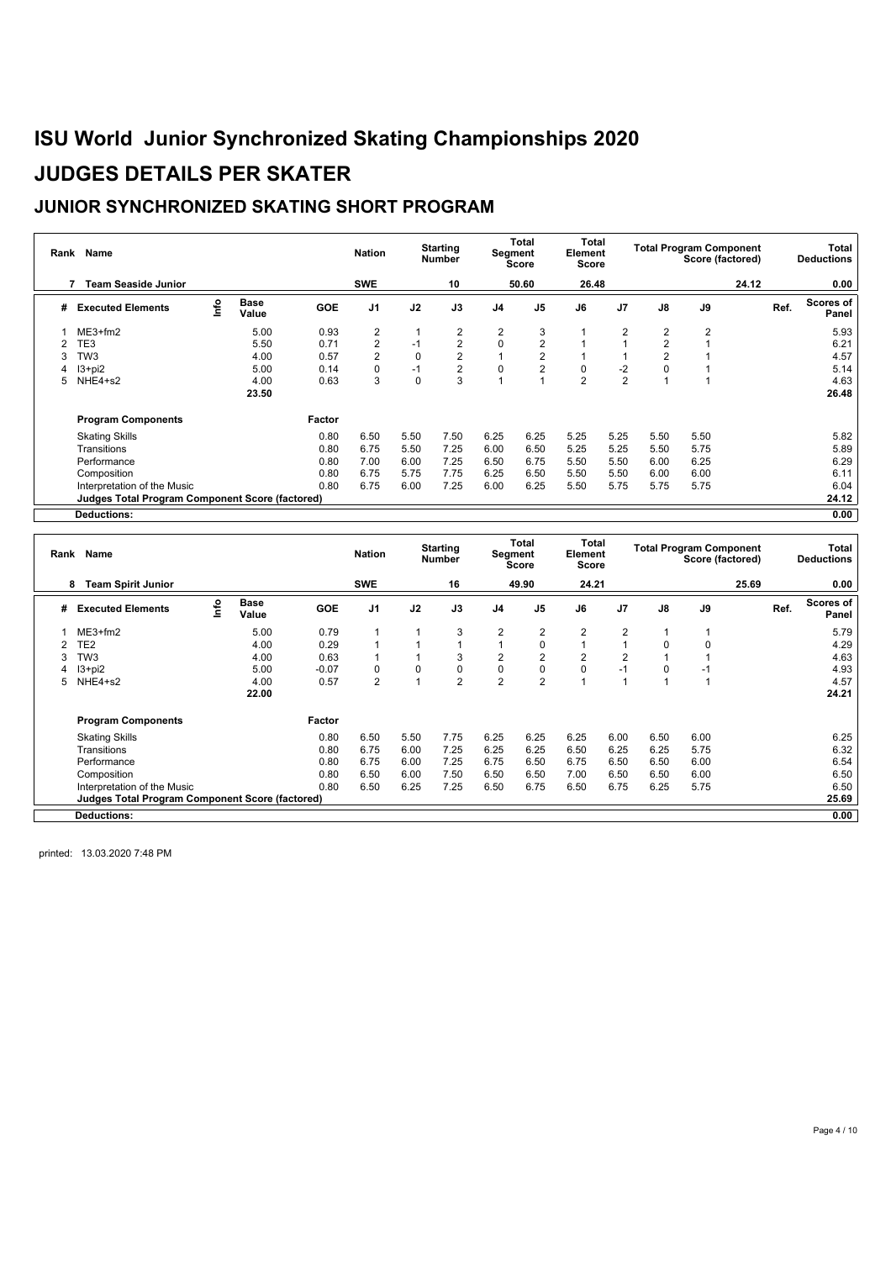### **JUNIOR SYNCHRONIZED SKATING SHORT PROGRAM**

| Rank | Name                                                   |      |                      |            | <b>Nation</b>  |          | <b>Starting</b><br><b>Number</b> |                | Total<br><b>Segment</b><br><b>Score</b> | Total<br>Element<br><b>Score</b> |                |                | <b>Total Program Component</b><br>Score (factored) |       |      | Total<br><b>Deductions</b> |
|------|--------------------------------------------------------|------|----------------------|------------|----------------|----------|----------------------------------|----------------|-----------------------------------------|----------------------------------|----------------|----------------|----------------------------------------------------|-------|------|----------------------------|
|      | <b>Team Seaside Junior</b>                             |      |                      |            | <b>SWE</b>     |          | 10                               |                | 50.60                                   | 26.48                            |                |                |                                                    | 24.12 |      | 0.00                       |
| #    | <b>Executed Elements</b>                               | info | <b>Base</b><br>Value | <b>GOE</b> | J <sub>1</sub> | J2       | J3                               | J <sub>4</sub> | J <sub>5</sub>                          | J6                               | J <sub>7</sub> | $\mathsf{J}8$  | J9                                                 |       | Ref. | Scores of<br>Panel         |
|      | $ME3+fm2$                                              |      | 5.00                 | 0.93       | 2              |          | 2                                | 2              | 3                                       |                                  | $\overline{2}$ | $\overline{2}$ | $\overline{2}$                                     |       |      | 5.93                       |
|      | TE3                                                    |      | 5.50                 | 0.71       | $\overline{2}$ | $-1$     | $\overline{2}$                   | 0              | $\overline{2}$                          |                                  |                | 2              |                                                    |       |      | 6.21                       |
| 3    | TW3                                                    |      | 4.00                 | 0.57       | $\overline{2}$ | 0        | $\overline{2}$                   |                | $\overline{2}$                          |                                  |                |                |                                                    |       |      | 4.57                       |
|      | $13 + pi2$                                             |      | 5.00                 | 0.14       | $\Omega$       | $-1$     | $\overline{2}$                   | 0              | 2                                       | 0                                | $-2$           |                |                                                    |       |      | 5.14                       |
| 5.   | NHE4+s2                                                |      | 4.00                 | 0.63       | 3              | $\Omega$ | 3                                |                |                                         | $\overline{2}$                   | $\overline{2}$ |                |                                                    |       |      | 4.63                       |
|      |                                                        |      | 23.50                |            |                |          |                                  |                |                                         |                                  |                |                |                                                    |       |      | 26.48                      |
|      | <b>Program Components</b>                              |      |                      | Factor     |                |          |                                  |                |                                         |                                  |                |                |                                                    |       |      |                            |
|      | <b>Skating Skills</b>                                  |      |                      | 0.80       | 6.50           | 5.50     | 7.50                             | 6.25           | 6.25                                    | 5.25                             | 5.25           | 5.50           | 5.50                                               |       |      | 5.82                       |
|      | Transitions                                            |      |                      | 0.80       | 6.75           | 5.50     | 7.25                             | 6.00           | 6.50                                    | 5.25                             | 5.25           | 5.50           | 5.75                                               |       |      | 5.89                       |
|      | Performance                                            |      |                      | 0.80       | 7.00           | 6.00     | 7.25                             | 6.50           | 6.75                                    | 5.50                             | 5.50           | 6.00           | 6.25                                               |       |      | 6.29                       |
|      | Composition                                            |      |                      | 0.80       | 6.75           | 5.75     | 7.75                             | 6.25           | 6.50                                    | 5.50                             | 5.50           | 6.00           | 6.00                                               |       |      | 6.11                       |
|      | Interpretation of the Music                            |      |                      | 0.80       | 6.75           | 6.00     | 7.25                             | 6.00           | 6.25                                    | 5.50                             | 5.75           | 5.75           | 5.75                                               |       |      | 6.04                       |
|      | <b>Judges Total Program Component Score (factored)</b> |      |                      |            |                |          |                                  |                |                                         |                                  |                |                |                                                    |       |      | 24.12                      |
|      | Deductions:                                            |      |                      |            |                |          |                                  |                |                                         |                                  |                |                |                                                    |       |      | 0.00                       |

| Rank | Name                                                   |      |                      |            | <b>Nation</b>  |          | <b>Starting</b><br><b>Number</b> |                | Total<br>Segment<br><b>Score</b> | Total<br>Element<br>Score |                |          | <b>Total Program Component</b><br>Score (factored) |       |      | <b>Total</b><br><b>Deductions</b> |
|------|--------------------------------------------------------|------|----------------------|------------|----------------|----------|----------------------------------|----------------|----------------------------------|---------------------------|----------------|----------|----------------------------------------------------|-------|------|-----------------------------------|
|      | <b>Team Spirit Junior</b><br>8                         |      |                      |            | <b>SWE</b>     |          | 16                               |                | 49.90                            | 24.21                     |                |          |                                                    | 25.69 |      | 0.00                              |
| #    | <b>Executed Elements</b>                               | lnfo | <b>Base</b><br>Value | <b>GOE</b> | J <sub>1</sub> | J2       | J3                               | J <sub>4</sub> | J <sub>5</sub>                   | J6                        | J <sub>7</sub> | J8       | J9                                                 |       | Ref. | <b>Scores of</b><br>Panel         |
|      | $ME3+fm2$                                              |      | 5.00                 | 0.79       |                |          | 3                                | $\overline{2}$ | 2                                | $\overline{2}$            | $\overline{2}$ |          |                                                    |       |      | 5.79                              |
|      | TE2                                                    |      | 4.00                 | 0.29       |                |          |                                  |                | 0                                |                           |                | $\Omega$ | 0                                                  |       |      | 4.29                              |
|      | TW3                                                    |      | 4.00                 | 0.63       |                |          | 3                                | $\overline{2}$ | $\overline{2}$                   | $\overline{2}$            | $\overline{2}$ |          |                                                    |       |      | 4.63                              |
|      | $13 + pi2$                                             |      | 5.00                 | $-0.07$    | $\Omega$       | $\Omega$ | $\mathbf 0$                      | $\mathbf 0$    | $\mathbf 0$                      | $\mathbf 0$               | $-1$           | $\Omega$ | -1                                                 |       |      | 4.93                              |
| 5    | NHE4+s2                                                |      | 4.00                 | 0.57       | $\overline{2}$ |          | $\overline{2}$                   | $\overline{2}$ | $\overline{2}$                   |                           |                |          |                                                    |       |      | 4.57                              |
|      |                                                        |      | 22.00                |            |                |          |                                  |                |                                  |                           |                |          |                                                    |       |      | 24.21                             |
|      | <b>Program Components</b>                              |      |                      | Factor     |                |          |                                  |                |                                  |                           |                |          |                                                    |       |      |                                   |
|      | <b>Skating Skills</b>                                  |      |                      | 0.80       | 6.50           | 5.50     | 7.75                             | 6.25           | 6.25                             | 6.25                      | 6.00           | 6.50     | 6.00                                               |       |      | 6.25                              |
|      | Transitions                                            |      |                      | 0.80       | 6.75           | 6.00     | 7.25                             | 6.25           | 6.25                             | 6.50                      | 6.25           | 6.25     | 5.75                                               |       |      | 6.32                              |
|      | Performance                                            |      |                      | 0.80       | 6.75           | 6.00     | 7.25                             | 6.75           | 6.50                             | 6.75                      | 6.50           | 6.50     | 6.00                                               |       |      | 6.54                              |
|      | Composition                                            |      |                      | 0.80       | 6.50           | 6.00     | 7.50                             | 6.50           | 6.50                             | 7.00                      | 6.50           | 6.50     | 6.00                                               |       |      | 6.50                              |
|      | Interpretation of the Music                            |      |                      | 0.80       | 6.50           | 6.25     | 7.25                             | 6.50           | 6.75                             | 6.50                      | 6.75           | 6.25     | 5.75                                               |       |      | 6.50                              |
|      | <b>Judges Total Program Component Score (factored)</b> |      |                      |            |                |          |                                  |                |                                  |                           |                |          |                                                    |       |      | 25.69                             |
|      | <b>Deductions:</b>                                     |      |                      |            |                |          |                                  |                |                                  |                           |                |          |                                                    |       |      | 0.00                              |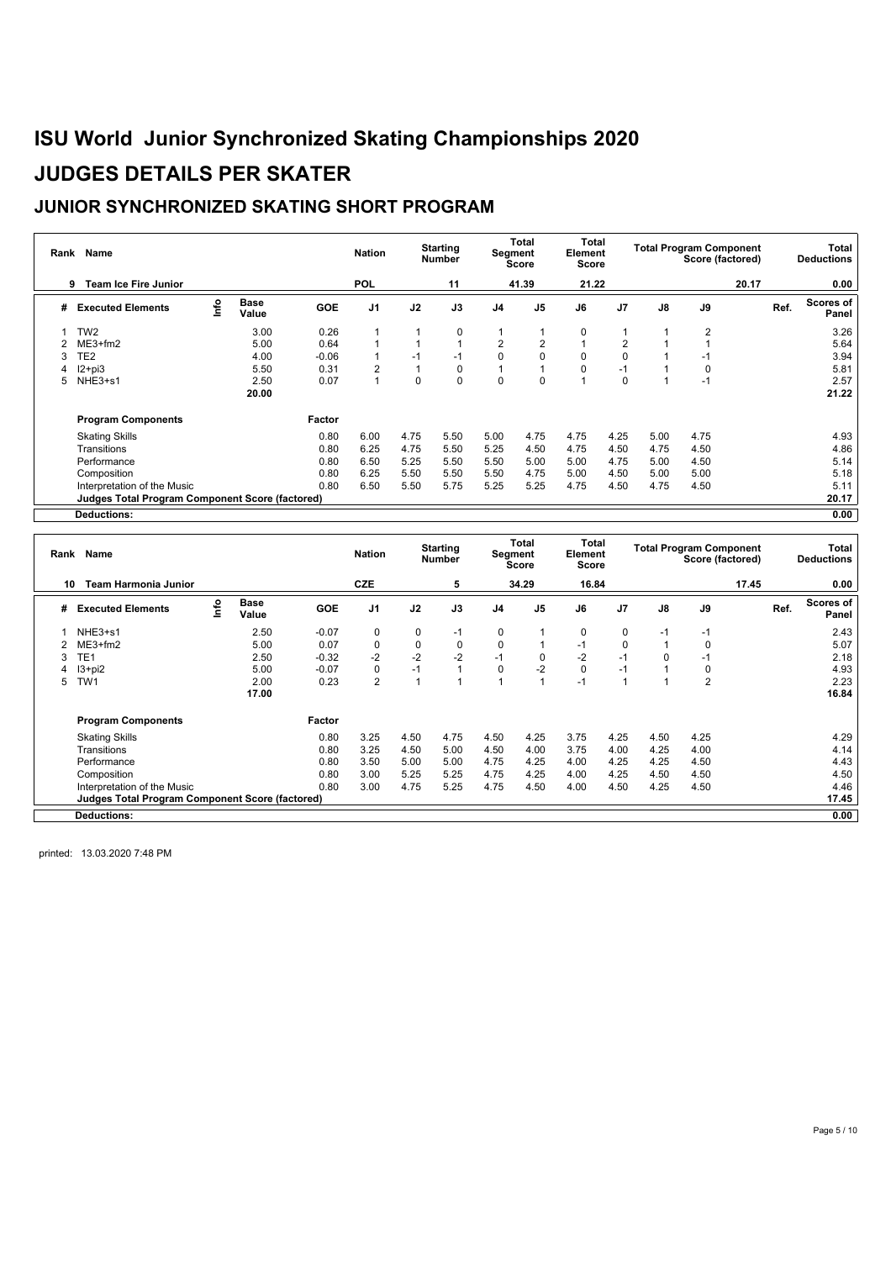### **JUNIOR SYNCHRONIZED SKATING SHORT PROGRAM**

| Rank | Name                                                   |      |                      |            | <b>Nation</b>  |          | <b>Starting</b><br><b>Number</b> |                | Total<br>Segment<br>Score | <b>Total</b><br>Element<br>Score |                |      | <b>Total Program Component</b><br>Score (factored) |       | Total<br><b>Deductions</b> |
|------|--------------------------------------------------------|------|----------------------|------------|----------------|----------|----------------------------------|----------------|---------------------------|----------------------------------|----------------|------|----------------------------------------------------|-------|----------------------------|
|      | <b>Team Ice Fire Junior</b><br>9                       |      |                      |            | <b>POL</b>     |          | 11                               |                | 41.39                     | 21.22                            |                |      |                                                    | 20.17 | 0.00                       |
| #    | <b>Executed Elements</b>                               | Info | <b>Base</b><br>Value | <b>GOE</b> | J <sub>1</sub> | J2       | J3                               | J <sub>4</sub> | J <sub>5</sub>            | J6                               | J <sub>7</sub> | J8   | J9                                                 |       | Scores of<br>Ref.<br>Panel |
|      | TW <sub>2</sub>                                        |      | 3.00                 | 0.26       |                |          | $\mathbf 0$                      |                |                           | $\mathbf 0$                      |                |      | $\overline{2}$                                     |       | 3.26                       |
|      | $ME3+fm2$                                              |      | 5.00                 | 0.64       |                |          |                                  | 2              | $\overline{2}$            |                                  | 2              |      |                                                    |       | 5.64                       |
| 3    | TE <sub>2</sub>                                        |      | 4.00                 | $-0.06$    |                | $-1$     | $-1$                             | $\mathbf 0$    | $\mathbf 0$               | 0                                | 0              |      | $-1$                                               |       | 3.94                       |
|      | $12 + pi3$                                             |      | 5.50                 | 0.31       | 2              |          | 0                                |                |                           | $\Omega$                         | $-1$           |      | $\Omega$                                           |       | 5.81                       |
| 5.   | NHE3+s1                                                |      | 2.50                 | 0.07       |                | $\Omega$ | $\mathbf 0$                      | $\mathbf 0$    | $\mathbf 0$               |                                  | $\Omega$       |      | $-1$                                               |       | 2.57                       |
|      |                                                        |      | 20.00                |            |                |          |                                  |                |                           |                                  |                |      |                                                    |       | 21.22                      |
|      | <b>Program Components</b>                              |      |                      | Factor     |                |          |                                  |                |                           |                                  |                |      |                                                    |       |                            |
|      | <b>Skating Skills</b>                                  |      |                      | 0.80       | 6.00           | 4.75     | 5.50                             | 5.00           | 4.75                      | 4.75                             | 4.25           | 5.00 | 4.75                                               |       | 4.93                       |
|      | Transitions                                            |      |                      | 0.80       | 6.25           | 4.75     | 5.50                             | 5.25           | 4.50                      | 4.75                             | 4.50           | 4.75 | 4.50                                               |       | 4.86                       |
|      | Performance                                            |      |                      | 0.80       | 6.50           | 5.25     | 5.50                             | 5.50           | 5.00                      | 5.00                             | 4.75           | 5.00 | 4.50                                               |       | 5.14                       |
|      | Composition                                            |      |                      | 0.80       | 6.25           | 5.50     | 5.50                             | 5.50           | 4.75                      | 5.00                             | 4.50           | 5.00 | 5.00                                               |       | 5.18                       |
|      | Interpretation of the Music                            |      |                      | 0.80       | 6.50           | 5.50     | 5.75                             | 5.25           | 5.25                      | 4.75                             | 4.50           | 4.75 | 4.50                                               |       | 5.11                       |
|      | <b>Judges Total Program Component Score (factored)</b> |      |                      |            |                |          |                                  |                |                           |                                  |                |      |                                                    |       | 20.17                      |
|      | <b>Deductions:</b>                                     |      |                      |            |                |          |                                  |                |                           |                                  |                |      |                                                    |       | 0.00                       |

| Rank | <b>Name</b>                                            |      |                      |            | <b>Nation</b>  |      | <b>Starting</b><br><b>Number</b> |                | Total<br>Segment<br>Score | Total<br>Element<br>Score |                |          | <b>Total Program Component</b><br>Score (factored) |       |      | Total<br><b>Deductions</b> |
|------|--------------------------------------------------------|------|----------------------|------------|----------------|------|----------------------------------|----------------|---------------------------|---------------------------|----------------|----------|----------------------------------------------------|-------|------|----------------------------|
| 10   | <b>Team Harmonia Junior</b>                            |      |                      |            | <b>CZE</b>     |      | 5                                |                | 34.29                     | 16.84                     |                |          |                                                    | 17.45 |      | 0.00                       |
| #    | <b>Executed Elements</b>                               | Info | <b>Base</b><br>Value | <b>GOE</b> | J <sub>1</sub> | J2   | J3                               | J <sub>4</sub> | J <sub>5</sub>            | J6                        | J <sub>7</sub> | J8       | J9                                                 |       | Ref. | <b>Scores of</b><br>Panel  |
|      | NHE3+s1                                                |      | 2.50                 | $-0.07$    | $\Omega$       | 0    | $-1$                             | 0              |                           | 0                         | 0              | $-1$     | $-1$                                               |       |      | 2.43                       |
|      | $ME3+fm2$                                              |      | 5.00                 | 0.07       | 0              | 0    | $\mathbf 0$                      | $\mathbf 0$    |                           | $-1$                      | 0              |          | 0                                                  |       |      | 5.07                       |
| 3    | TE <sub>1</sub>                                        |      | 2.50                 | $-0.32$    | $-2$           | $-2$ | $-2$                             | $-1$           | $\mathbf 0$               | $-2$                      | $-1$           | $\Omega$ | $-1$                                               |       |      | 2.18                       |
|      | $13+pi2$                                               |      | 5.00                 | $-0.07$    | $\Omega$       | $-1$ |                                  | 0              | $-2$                      | 0                         | $-1$           |          | $\Omega$                                           |       |      | 4.93                       |
| 5    | TW1                                                    |      | 2.00                 | 0.23       | $\overline{2}$ |      |                                  |                | $\overline{A}$            | $-1$                      |                |          | $\overline{2}$                                     |       |      | 2.23                       |
|      |                                                        |      | 17.00                |            |                |      |                                  |                |                           |                           |                |          |                                                    |       |      | 16.84                      |
|      | <b>Program Components</b>                              |      |                      | Factor     |                |      |                                  |                |                           |                           |                |          |                                                    |       |      |                            |
|      | <b>Skating Skills</b>                                  |      |                      | 0.80       | 3.25           | 4.50 | 4.75                             | 4.50           | 4.25                      | 3.75                      | 4.25           | 4.50     | 4.25                                               |       |      | 4.29                       |
|      | Transitions                                            |      |                      | 0.80       | 3.25           | 4.50 | 5.00                             | 4.50           | 4.00                      | 3.75                      | 4.00           | 4.25     | 4.00                                               |       |      | 4.14                       |
|      | Performance                                            |      |                      | 0.80       | 3.50           | 5.00 | 5.00                             | 4.75           | 4.25                      | 4.00                      | 4.25           | 4.25     | 4.50                                               |       |      | 4.43                       |
|      | Composition                                            |      |                      | 0.80       | 3.00           | 5.25 | 5.25                             | 4.75           | 4.25                      | 4.00                      | 4.25           | 4.50     | 4.50                                               |       |      | 4.50                       |
|      | Interpretation of the Music                            |      |                      | 0.80       | 3.00           | 4.75 | 5.25                             | 4.75           | 4.50                      | 4.00                      | 4.50           | 4.25     | 4.50                                               |       |      | 4.46                       |
|      | <b>Judges Total Program Component Score (factored)</b> |      |                      |            |                |      |                                  |                |                           |                           |                |          |                                                    |       |      | 17.45                      |
|      | <b>Deductions:</b>                                     |      |                      |            |                |      |                                  |                |                           |                           |                |          |                                                    |       |      | 0.00                       |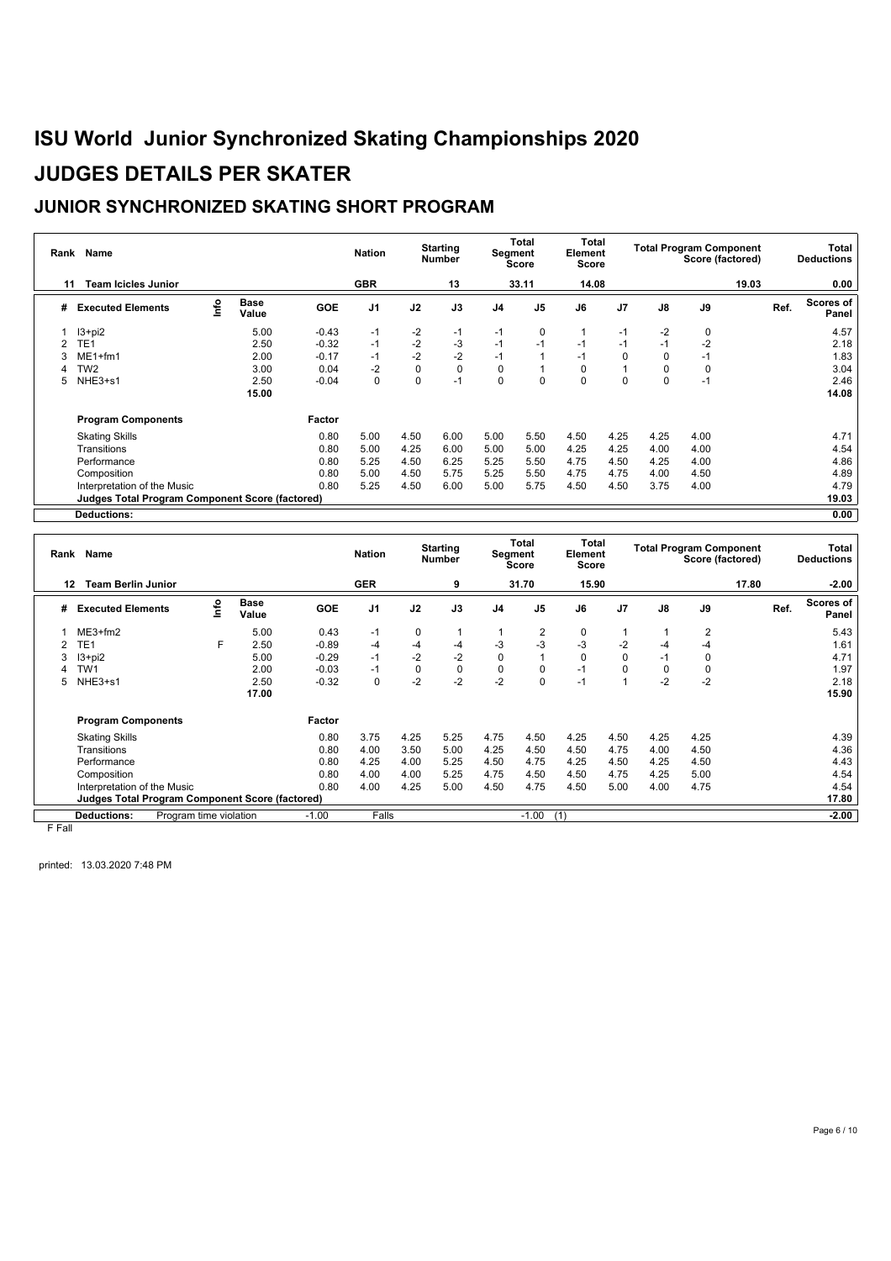### **JUNIOR SYNCHRONIZED SKATING SHORT PROGRAM**

| Rank | Name                                            |      |                      |         | <b>Nation</b>  |          | <b>Starting</b><br><b>Number</b> |                | Total<br>Segment<br>Score | <b>Total</b><br>Element<br><b>Score</b> |                |          | <b>Total Program Component</b><br>Score (factored) |       | Total<br><b>Deductions</b> |
|------|-------------------------------------------------|------|----------------------|---------|----------------|----------|----------------------------------|----------------|---------------------------|-----------------------------------------|----------------|----------|----------------------------------------------------|-------|----------------------------|
| 11   | <b>Team Icicles Junior</b>                      |      |                      |         | <b>GBR</b>     |          | 13                               |                | 33.11                     | 14.08                                   |                |          |                                                    | 19.03 | 0.00                       |
| #    | <b>Executed Elements</b>                        | Info | <b>Base</b><br>Value | GOE     | J <sub>1</sub> | J2       | J3                               | J <sub>4</sub> | J <sub>5</sub>            | J6                                      | J <sub>7</sub> | J8       | J9                                                 | Ref.  | Scores of<br>Panel         |
|      | $13 + pi2$                                      |      | 5.00                 | $-0.43$ | $-1$           | $-2$     | $-1$                             | $-1$           | 0                         |                                         | $-1$           | $-2$     | 0                                                  |       | 4.57                       |
|      | TE1                                             |      | 2.50                 | $-0.32$ | $-1$           | $-2$     | $-3$                             | $-1$           | $-1$                      | $-1$                                    | $-1$           | $-1$     | $-2$                                               |       | 2.18                       |
|      | $ME1+fm1$                                       |      | 2.00                 | $-0.17$ | $-1$           | $-2$     | $-2$                             | $-1$           | 1                         | $-1$                                    | $\Omega$       | $\Omega$ | $-1$                                               |       | 1.83                       |
|      | TW <sub>2</sub>                                 |      | 3.00                 | 0.04    | $-2$           | 0        | $\pmb{0}$                        | 0              | 1                         | 0                                       |                | $\Omega$ | $\Omega$                                           |       | 3.04                       |
| 5.   | NHE3+s1                                         |      | 2.50                 | $-0.04$ | $\Omega$       | $\Omega$ | $-1$                             | $\Omega$       | $\Omega$                  | $\Omega$                                | $\Omega$       |          | $-1$                                               |       | 2.46                       |
|      |                                                 |      | 15.00                |         |                |          |                                  |                |                           |                                         |                |          |                                                    |       | 14.08                      |
|      | <b>Program Components</b>                       |      |                      | Factor  |                |          |                                  |                |                           |                                         |                |          |                                                    |       |                            |
|      | <b>Skating Skills</b>                           |      |                      | 0.80    | 5.00           | 4.50     | 6.00                             | 5.00           | 5.50                      | 4.50                                    | 4.25           | 4.25     | 4.00                                               |       | 4.71                       |
|      | Transitions                                     |      |                      | 0.80    | 5.00           | 4.25     | 6.00                             | 5.00           | 5.00                      | 4.25                                    | 4.25           | 4.00     | 4.00                                               |       | 4.54                       |
|      | Performance                                     |      |                      | 0.80    | 5.25           | 4.50     | 6.25                             | 5.25           | 5.50                      | 4.75                                    | 4.50           | 4.25     | 4.00                                               |       | 4.86                       |
|      | Composition                                     |      |                      | 0.80    | 5.00           | 4.50     | 5.75                             | 5.25           | 5.50                      | 4.75                                    | 4.75           | 4.00     | 4.50                                               |       | 4.89                       |
|      | Interpretation of the Music                     |      |                      | 0.80    | 5.25           | 4.50     | 6.00                             | 5.00           | 5.75                      | 4.50                                    | 4.50           | 3.75     | 4.00                                               |       | 4.79                       |
|      | Judges Total Program Component Score (factored) |      |                      |         |                |          |                                  |                |                           |                                         |                |          |                                                    |       | 19.03                      |
|      | <b>Deductions:</b>                              |      |                      |         |                |          |                                  |                |                           |                                         |                |          |                                                    |       | 0.00                       |

|           | Rank Name                                              |                        |                      |            | <b>Nation</b>  |      | <b>Starting</b><br><b>Number</b> |                | Total<br>Segment<br><b>Score</b> | Total<br>Element<br>Score |                |      | <b>Total Program Component</b><br>Score (factored) |       |      | Total<br><b>Deductions</b> |
|-----------|--------------------------------------------------------|------------------------|----------------------|------------|----------------|------|----------------------------------|----------------|----------------------------------|---------------------------|----------------|------|----------------------------------------------------|-------|------|----------------------------|
| 12        | <b>Team Berlin Junior</b>                              |                        |                      |            | <b>GER</b>     |      | 9                                |                | 31.70                            | 15.90                     |                |      |                                                    | 17.80 |      | $-2.00$                    |
| #         | <b>Executed Elements</b>                               | lnfo                   | <b>Base</b><br>Value | <b>GOE</b> | J <sub>1</sub> | J2   | J3                               | J <sub>4</sub> | J <sub>5</sub>                   | J6                        | J <sub>7</sub> | J8   | J9                                                 |       | Ref. | Scores of<br>Panel         |
|           | $ME3+fm2$                                              |                        | 5.00                 | 0.43       | $-1$           | 0    |                                  |                | $\overline{2}$                   | 0                         |                |      | $\overline{2}$                                     |       |      | 5.43                       |
|           | TE <sub>1</sub>                                        | F                      | 2.50                 | $-0.89$    | $-4$           | $-4$ | $-4$                             | $-3$           | $-3$                             | $-3$                      | -2             | -4   | -4                                                 |       |      | 1.61                       |
|           | $13+pi2$                                               |                        | 5.00                 | $-0.29$    | $-1$           | $-2$ | $-2$                             | $\mathbf 0$    | 1                                | 0                         | $\Omega$       | $-1$ | 0                                                  |       |      | 4.71                       |
|           | TW1                                                    |                        | 2.00                 | $-0.03$    | $-1$           | 0    | $\mathbf 0$                      | $\mathbf 0$    | $\mathbf 0$                      | $-1$                      | 0              | 0    | 0                                                  |       |      | 1.97                       |
| 5.        | NHE3+s1                                                |                        | 2.50                 | $-0.32$    | 0              | $-2$ | $-2$                             | $-2$           | 0                                | $-1$                      | 1              | $-2$ | $-2$                                               |       |      | 2.18                       |
|           |                                                        |                        | 17.00                |            |                |      |                                  |                |                                  |                           |                |      |                                                    |       |      | 15.90                      |
|           | <b>Program Components</b>                              |                        |                      | Factor     |                |      |                                  |                |                                  |                           |                |      |                                                    |       |      |                            |
|           | <b>Skating Skills</b>                                  |                        |                      | 0.80       | 3.75           | 4.25 | 5.25                             | 4.75           | 4.50                             | 4.25                      | 4.50           | 4.25 | 4.25                                               |       |      | 4.39                       |
|           | Transitions                                            |                        |                      | 0.80       | 4.00           | 3.50 | 5.00                             | 4.25           | 4.50                             | 4.50                      | 4.75           | 4.00 | 4.50                                               |       |      | 4.36                       |
|           | Performance                                            |                        |                      | 0.80       | 4.25           | 4.00 | 5.25                             | 4.50           | 4.75                             | 4.25                      | 4.50           | 4.25 | 4.50                                               |       |      | 4.43                       |
|           | Composition                                            |                        |                      | 0.80       | 4.00           | 4.00 | 5.25                             | 4.75           | 4.50                             | 4.50                      | 4.75           | 4.25 | 5.00                                               |       |      | 4.54                       |
|           | Interpretation of the Music                            |                        |                      | 0.80       | 4.00           | 4.25 | 5.00                             | 4.50           | 4.75                             | 4.50                      | 5.00           | 4.00 | 4.75                                               |       |      | 4.54                       |
|           | <b>Judges Total Program Component Score (factored)</b> |                        |                      |            |                |      |                                  |                |                                  |                           |                |      |                                                    |       |      | 17.80                      |
|           | <b>Deductions:</b>                                     | Program time violation |                      | $-1.00$    | Falls          |      |                                  |                | $-1.00$                          | (1)                       |                |      |                                                    |       |      | $-2.00$                    |
| F F - 8 - |                                                        |                        |                      |            |                |      |                                  |                |                                  |                           |                |      |                                                    |       |      |                            |

F Fall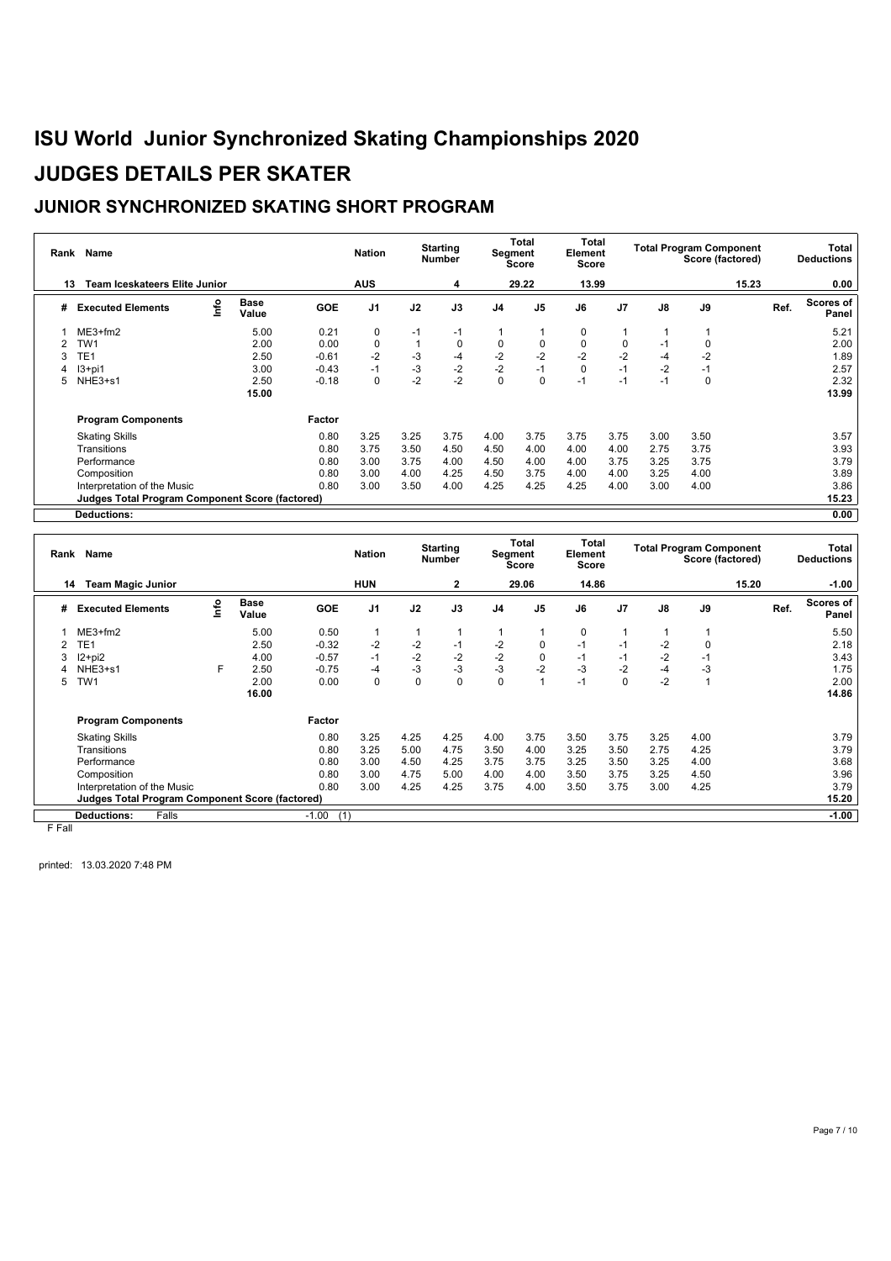### **JUNIOR SYNCHRONIZED SKATING SHORT PROGRAM**

| Rank | Name                                                   |      | <b>Nation</b>        |            | <b>Starting</b><br><b>Number</b> |      | Total<br><b>Total</b><br>Segment<br>Element<br><b>Score</b><br><b>Score</b> |                |                |             | <b>Total Program Component</b><br>Score (factored) |      | Total<br><b>Deductions</b> |       |                    |
|------|--------------------------------------------------------|------|----------------------|------------|----------------------------------|------|-----------------------------------------------------------------------------|----------------|----------------|-------------|----------------------------------------------------|------|----------------------------|-------|--------------------|
| 13   | Team Iceskateers Elite Junior                          |      |                      |            | <b>AUS</b>                       |      | 4                                                                           |                | 29.22          | 13.99       |                                                    |      |                            | 15.23 | 0.00               |
| #    | <b>Executed Elements</b>                               | Info | <b>Base</b><br>Value | <b>GOE</b> | J <sub>1</sub>                   | J2   | J3                                                                          | J <sub>4</sub> | J <sub>5</sub> | J6          | J <sub>7</sub>                                     | J8   | J9                         | Ref.  | Scores of<br>Panel |
|      | $ME3+fm2$                                              |      | 5.00                 | 0.21       | 0                                | -1   | $-1$                                                                        |                |                | 0           |                                                    |      |                            |       | 5.21               |
|      | TW1                                                    |      | 2.00                 | 0.00       | 0                                |      | 0                                                                           | 0              | 0              | 0           | 0                                                  | $-1$ | 0                          |       | 2.00               |
| 3    | TE1                                                    |      | 2.50                 | $-0.61$    | $-2$                             | -3   | $-4$                                                                        | $-2$           | $-2$           | $-2$        | $-2$                                               | -4   | $-2$                       |       | 1.89               |
|      | $13+pi1$                                               |      | 3.00                 | $-0.43$    | $-1$                             | $-3$ | $-2$                                                                        | $-2$           | $-1$           | $\mathbf 0$ | $-1$                                               | $-2$ | $-1$                       |       | 2.57               |
| 5.   | NHE3+s1                                                |      | 2.50                 | $-0.18$    | $\Omega$                         | $-2$ | $-2$                                                                        | $\mathbf 0$    | $\Omega$       | $-1$        | $-1$                                               | -1   | $\Omega$                   |       | 2.32               |
|      |                                                        |      | 15.00                |            |                                  |      |                                                                             |                |                |             |                                                    |      |                            |       | 13.99              |
|      | <b>Program Components</b>                              |      |                      | Factor     |                                  |      |                                                                             |                |                |             |                                                    |      |                            |       |                    |
|      | <b>Skating Skills</b>                                  |      |                      | 0.80       | 3.25                             | 3.25 | 3.75                                                                        | 4.00           | 3.75           | 3.75        | 3.75                                               | 3.00 | 3.50                       |       | 3.57               |
|      | Transitions                                            |      |                      | 0.80       | 3.75                             | 3.50 | 4.50                                                                        | 4.50           | 4.00           | 4.00        | 4.00                                               | 2.75 | 3.75                       |       | 3.93               |
|      | Performance                                            |      |                      | 0.80       | 3.00                             | 3.75 | 4.00                                                                        | 4.50           | 4.00           | 4.00        | 3.75                                               | 3.25 | 3.75                       |       | 3.79               |
|      | Composition                                            |      |                      | 0.80       | 3.00                             | 4.00 | 4.25                                                                        | 4.50           | 3.75           | 4.00        | 4.00                                               | 3.25 | 4.00                       |       | 3.89               |
|      | Interpretation of the Music                            |      |                      | 0.80       | 3.00                             | 3.50 | 4.00                                                                        | 4.25           | 4.25           | 4.25        | 4.00                                               | 3.00 | 4.00                       |       | 3.86               |
|      | <b>Judges Total Program Component Score (factored)</b> |      |                      |            |                                  |      |                                                                             |                |                |             |                                                    |      |                            |       | 15.23              |
|      | <b>Deductions:</b>                                     |      |                      |            |                                  |      |                                                                             |                |                |             |                                                    |      |                            |       | 0.00               |

|        | Rank Name                                              |      |                      |                | <b>Nation</b>  |      | <b>Starting</b><br>Number |                | Total<br>Segment<br>Element<br><b>Score</b><br>Score |             | Total          | <b>Total Program Component</b><br>Score (factored) |          |       |      | <b>Total</b><br><b>Deductions</b> |
|--------|--------------------------------------------------------|------|----------------------|----------------|----------------|------|---------------------------|----------------|------------------------------------------------------|-------------|----------------|----------------------------------------------------|----------|-------|------|-----------------------------------|
| 14     | <b>Team Magic Junior</b>                               |      |                      |                | <b>HUN</b>     |      | $\mathbf{2}$              |                | 29.06                                                | 14.86       |                |                                                    |          | 15.20 |      | $-1.00$                           |
| #      | <b>Executed Elements</b>                               | lnfo | <b>Base</b><br>Value | <b>GOE</b>     | J <sub>1</sub> | J2   | J3                        | J <sub>4</sub> | J <sub>5</sub>                                       | J6          | J <sub>7</sub> | J8                                                 | J9       |       | Ref. | <b>Scores of</b><br>Panel         |
|        | $ME3+fm2$                                              |      | 5.00                 | 0.50           |                |      |                           |                |                                                      | $\mathbf 0$ |                |                                                    |          |       |      | 5.50                              |
|        | TE1                                                    |      | 2.50                 | $-0.32$        | $-2$           | $-2$ | $-1$                      | $-2$           | $\mathbf 0$                                          | $-1$        | $-1$           | $-2$                                               | $\Omega$ |       |      | 2.18                              |
|        | $12+pi2$                                               |      | 4.00                 | $-0.57$        | $-1$           | $-2$ | $-2$                      | $-2$           | $\mathbf 0$                                          | $-1$        | $-1$           | $-2$                                               | $-1$     |       |      | 3.43                              |
|        | NHE3+s1                                                | F    | 2.50                 | $-0.75$        | -4             | $-3$ | $-3$                      | $-3$           | $-2$                                                 | $-3$        | -2             | $-4$                                               | -3       |       |      | 1.75                              |
| 5      | TW1                                                    |      | 2.00                 | 0.00           | 0              | 0    | $\mathbf 0$               | $\mathbf 0$    | 1                                                    | $-1$        | $\mathbf 0$    | $-2$                                               |          |       |      | 2.00                              |
|        |                                                        |      | 16.00                |                |                |      |                           |                |                                                      |             |                |                                                    |          |       |      | 14.86                             |
|        | <b>Program Components</b>                              |      |                      | Factor         |                |      |                           |                |                                                      |             |                |                                                    |          |       |      |                                   |
|        | <b>Skating Skills</b>                                  |      |                      | 0.80           | 3.25           | 4.25 | 4.25                      | 4.00           | 3.75                                                 | 3.50        | 3.75           | 3.25                                               | 4.00     |       |      | 3.79                              |
|        | Transitions                                            |      |                      | 0.80           | 3.25           | 5.00 | 4.75                      | 3.50           | 4.00                                                 | 3.25        | 3.50           | 2.75                                               | 4.25     |       |      | 3.79                              |
|        | Performance                                            |      |                      | 0.80           | 3.00           | 4.50 | 4.25                      | 3.75           | 3.75                                                 | 3.25        | 3.50           | 3.25                                               | 4.00     |       |      | 3.68                              |
|        | Composition                                            |      |                      | 0.80           | 3.00           | 4.75 | 5.00                      | 4.00           | 4.00                                                 | 3.50        | 3.75           | 3.25                                               | 4.50     |       |      | 3.96                              |
|        | Interpretation of the Music                            |      |                      | 0.80           | 3.00           | 4.25 | 4.25                      | 3.75           | 4.00                                                 | 3.50        | 3.75           | 3.00                                               | 4.25     |       |      | 3.79                              |
|        | <b>Judges Total Program Component Score (factored)</b> |      |                      |                |                |      |                           |                |                                                      |             |                |                                                    |          |       |      | 15.20                             |
|        | <b>Deductions:</b><br>Falls                            |      |                      | $-1.00$<br>(1) |                |      |                           |                |                                                      |             |                |                                                    |          |       |      | $-1.00$                           |
| E EAU. |                                                        |      |                      |                |                |      |                           |                |                                                      |             |                |                                                    |          |       |      |                                   |

F Fall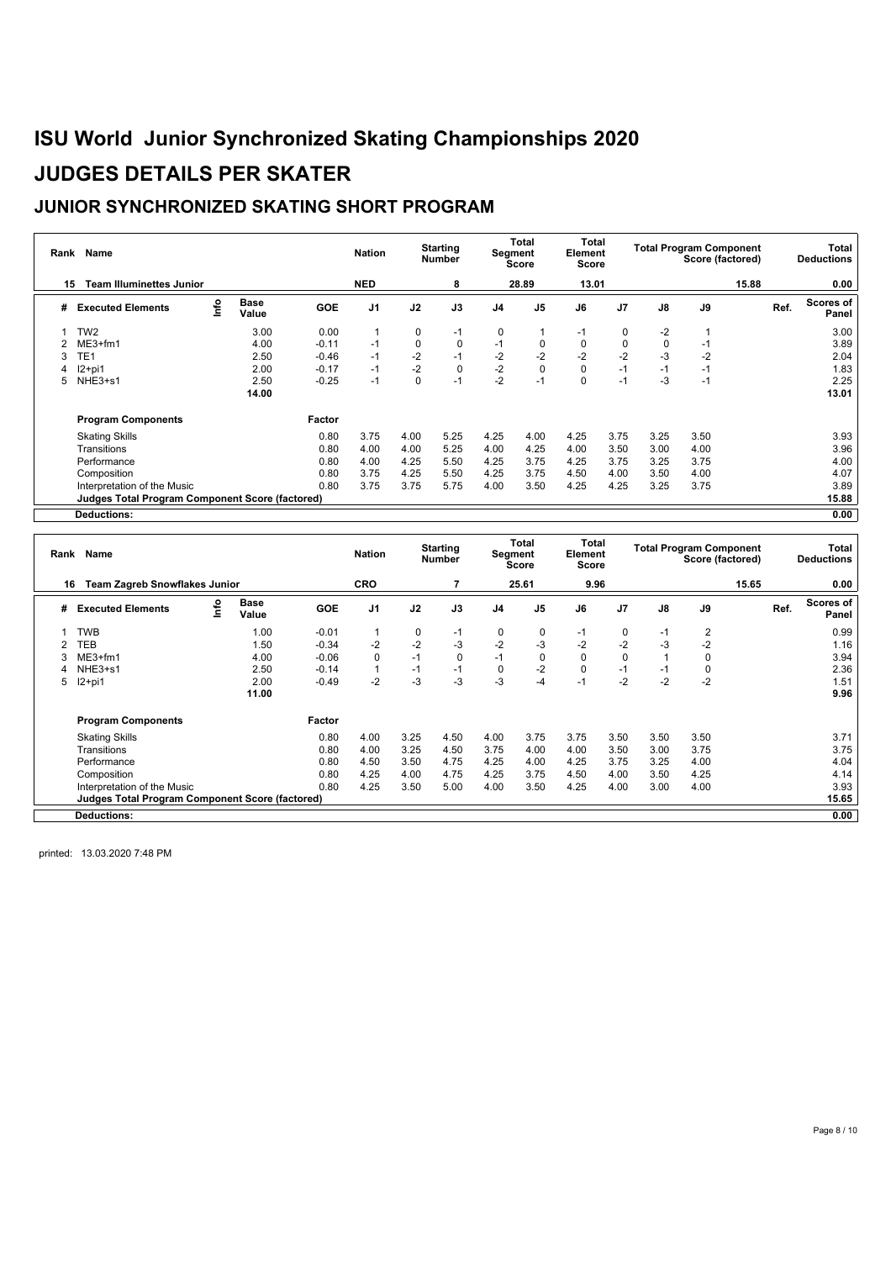### **JUNIOR SYNCHRONIZED SKATING SHORT PROGRAM**

| Rank | Name                                                   |      |                      |         | <b>Nation</b> |          | <b>Starting</b><br><b>Number</b> |      | Total<br><b>Segment</b><br><b>Score</b> | Total<br>Element<br><b>Score</b> |                |      | <b>Total Program Component</b><br>Score (factored) |       | Total<br><b>Deductions</b> |
|------|--------------------------------------------------------|------|----------------------|---------|---------------|----------|----------------------------------|------|-----------------------------------------|----------------------------------|----------------|------|----------------------------------------------------|-------|----------------------------|
| 15   | <b>Team Illuminettes Junior</b>                        |      |                      |         | <b>NED</b>    |          | 8                                |      | 28.89                                   | 13.01                            |                |      |                                                    | 15.88 | 0.00                       |
| #    | <b>Executed Elements</b>                               | Info | <b>Base</b><br>Value | GOE     | J1            | J2       | J3                               | J4   | J5                                      | J6                               | J <sub>7</sub> | J8   | J9                                                 | Ref.  | Scores of<br>Panel         |
|      | TW <sub>2</sub>                                        |      | 3.00                 | 0.00    |               | 0        | $-1$                             | 0    |                                         | -1                               | 0              | $-2$ |                                                    |       | 3.00                       |
|      | $ME3+fm1$                                              |      | 4.00                 | $-0.11$ | $-1$          | 0        | 0                                | $-1$ | 0                                       | 0                                | 0              | 0    | $-1$                                               |       | 3.89                       |
|      | TE <sub>1</sub>                                        |      | 2.50                 | $-0.46$ | $-1$          | $-2$     | $-1$                             | $-2$ | $-2$                                    | $-2$                             | $-2$           | -3   | $-2$                                               |       | 2.04                       |
|      | $12+pi1$                                               |      | 2.00                 | $-0.17$ | $-1$          | $-2$     | $\pmb{0}$                        | $-2$ | 0                                       | 0                                | $-1$           | $-1$ | $-1$                                               |       | 1.83                       |
|      | NHE3+s1                                                |      | 2.50                 | $-0.25$ | $-1$          | $\Omega$ | $-1$                             | $-2$ | $-1$                                    | $\Omega$                         | $-1$           | -3   | $-1$                                               |       | 2.25                       |
|      |                                                        |      | 14.00                |         |               |          |                                  |      |                                         |                                  |                |      |                                                    |       | 13.01                      |
|      | <b>Program Components</b>                              |      |                      | Factor  |               |          |                                  |      |                                         |                                  |                |      |                                                    |       |                            |
|      | <b>Skating Skills</b>                                  |      |                      | 0.80    | 3.75          | 4.00     | 5.25                             | 4.25 | 4.00                                    | 4.25                             | 3.75           | 3.25 | 3.50                                               |       | 3.93                       |
|      | Transitions                                            |      |                      | 0.80    | 4.00          | 4.00     | 5.25                             | 4.00 | 4.25                                    | 4.00                             | 3.50           | 3.00 | 4.00                                               |       | 3.96                       |
|      | Performance                                            |      |                      | 0.80    | 4.00          | 4.25     | 5.50                             | 4.25 | 3.75                                    | 4.25                             | 3.75           | 3.25 | 3.75                                               |       | 4.00                       |
|      | Composition                                            |      |                      | 0.80    | 3.75          | 4.25     | 5.50                             | 4.25 | 3.75                                    | 4.50                             | 4.00           | 3.50 | 4.00                                               |       | 4.07                       |
|      | Interpretation of the Music                            |      |                      | 0.80    | 3.75          | 3.75     | 5.75                             | 4.00 | 3.50                                    | 4.25                             | 4.25           | 3.25 | 3.75                                               |       | 3.89                       |
|      | <b>Judges Total Program Component Score (factored)</b> |      |                      |         |               |          |                                  |      |                                         |                                  |                |      |                                                    |       | 15.88                      |
|      | <b>Deductions:</b>                                     |      |                      |         |               |          |                                  |      |                                         |                                  |                |      |                                                    |       | 0.00                       |

|    | Rank Name                                              |      | <b>Nation</b>        |            | <b>Starting</b><br><b>Number</b> |      | Total<br>Segment<br><b>Score</b> | <b>Total</b><br>Element<br>Score |                |             | <b>Total Program Component</b><br>Score (factored) |      |             | Total<br><b>Deductions</b> |      |                           |
|----|--------------------------------------------------------|------|----------------------|------------|----------------------------------|------|----------------------------------|----------------------------------|----------------|-------------|----------------------------------------------------|------|-------------|----------------------------|------|---------------------------|
| 16 | <b>Team Zagreb Snowflakes Junior</b>                   |      |                      |            | <b>CRO</b>                       |      |                                  |                                  | 25.61          | 9.96        |                                                    |      |             | 15.65                      |      | 0.00                      |
| #  | <b>Executed Elements</b>                               | Info | <b>Base</b><br>Value | <b>GOE</b> | J <sub>1</sub>                   | J2   | J3                               | J <sub>4</sub>                   | J <sub>5</sub> | J6          | J <sub>7</sub>                                     | J8   | J9          |                            | Ref. | <b>Scores of</b><br>Panel |
|    | <b>TWB</b>                                             |      | 1.00                 | $-0.01$    |                                  | 0    | $-1$                             | 0                                | 0              | $-1$        | 0                                                  | $-1$ | 2           |                            |      | 0.99                      |
|    | <b>TEB</b>                                             |      | 1.50                 | $-0.34$    | $-2$                             | $-2$ | $-3$                             | $-2$                             | $-3$           | $-2$        | $-2$                                               | $-3$ | $-2$        |                            |      | 1.16                      |
|    | $ME3+fm1$                                              |      | 4.00                 | $-0.06$    | $\Omega$                         | $-1$ | $\mathbf 0$                      | $-1$                             | 0              | $\mathbf 0$ | 0                                                  |      | $\Omega$    |                            |      | 3.94                      |
|    | NHE3+s1                                                |      | 2.50                 | $-0.14$    |                                  | $-1$ | $-1$                             | $\mathbf 0$                      | $-2$           | $\mathbf 0$ | $-1$                                               | $-1$ | $\mathbf 0$ |                            |      | 2.36                      |
| 5  | $12+pi1$                                               |      | 2.00                 | $-0.49$    | $-2$                             | $-3$ | $-3$                             | $-3$                             | $-4$           | $-1$        | $-2$                                               | $-2$ | $-2$        |                            |      | 1.51                      |
|    |                                                        |      | 11.00                |            |                                  |      |                                  |                                  |                |             |                                                    |      |             |                            |      | 9.96                      |
|    | <b>Program Components</b>                              |      |                      | Factor     |                                  |      |                                  |                                  |                |             |                                                    |      |             |                            |      |                           |
|    | <b>Skating Skills</b>                                  |      |                      | 0.80       | 4.00                             | 3.25 | 4.50                             | 4.00                             | 3.75           | 3.75        | 3.50                                               | 3.50 | 3.50        |                            |      | 3.71                      |
|    | Transitions                                            |      |                      | 0.80       | 4.00                             | 3.25 | 4.50                             | 3.75                             | 4.00           | 4.00        | 3.50                                               | 3.00 | 3.75        |                            |      | 3.75                      |
|    | Performance                                            |      |                      | 0.80       | 4.50                             | 3.50 | 4.75                             | 4.25                             | 4.00           | 4.25        | 3.75                                               | 3.25 | 4.00        |                            |      | 4.04                      |
|    | Composition                                            |      |                      | 0.80       | 4.25                             | 4.00 | 4.75                             | 4.25                             | 3.75           | 4.50        | 4.00                                               | 3.50 | 4.25        |                            |      | 4.14                      |
|    | Interpretation of the Music                            |      |                      | 0.80       | 4.25                             | 3.50 | 5.00                             | 4.00                             | 3.50           | 4.25        | 4.00                                               | 3.00 | 4.00        |                            |      | 3.93                      |
|    | <b>Judges Total Program Component Score (factored)</b> |      |                      |            |                                  |      |                                  |                                  |                |             |                                                    |      |             |                            |      | 15.65                     |
|    | <b>Deductions:</b>                                     |      |                      |            |                                  |      |                                  |                                  |                |             |                                                    |      |             |                            |      | 0.00                      |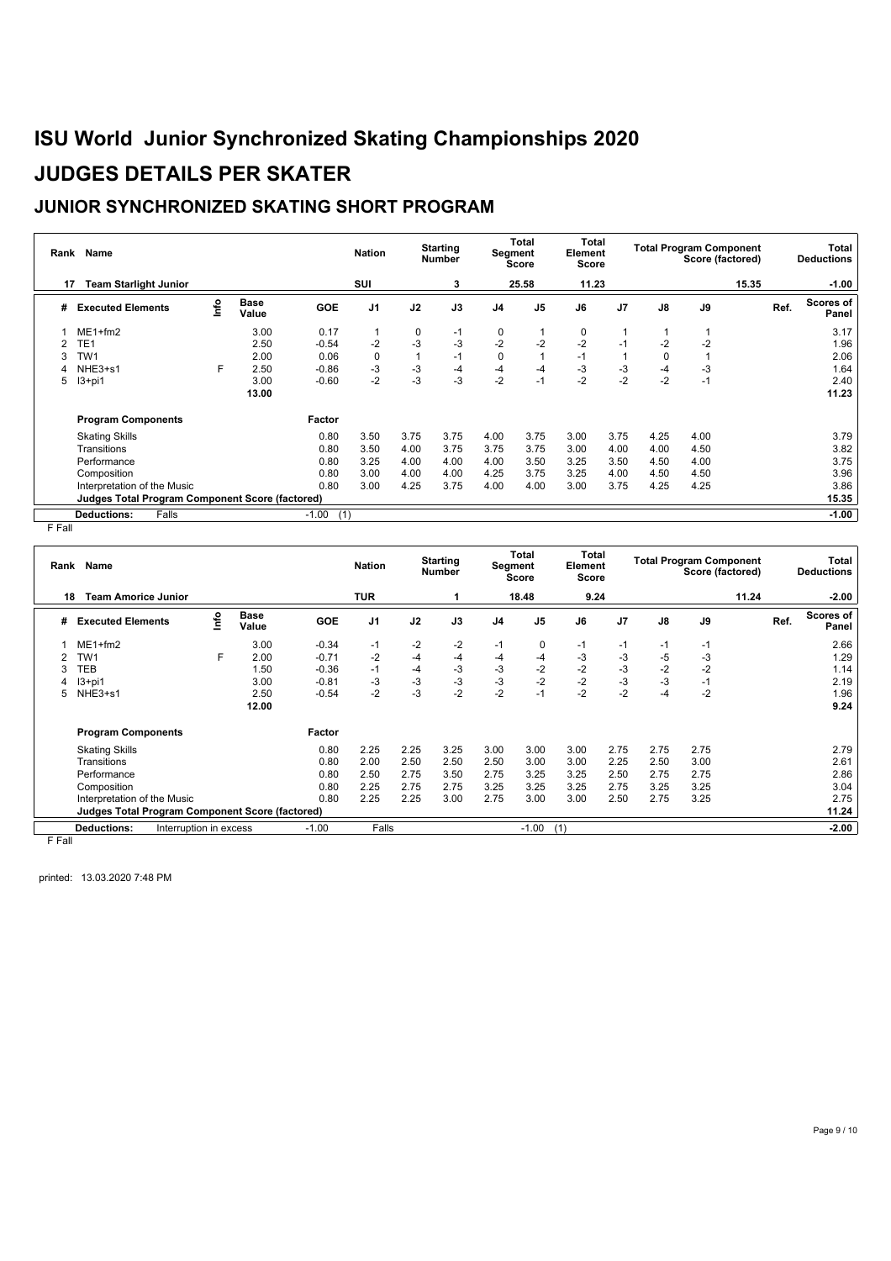### **JUNIOR SYNCHRONIZED SKATING SHORT PROGRAM**

| Rank | Name                                            |      |                      |                | <b>Nation</b>  |      | <b>Starting</b><br><b>Number</b> | <b>Segment</b> | Total<br>Score | Total<br>Element<br>Score |                |      | <b>Total Program Component</b><br>Score (factored) |      | Total<br><b>Deductions</b> |
|------|-------------------------------------------------|------|----------------------|----------------|----------------|------|----------------------------------|----------------|----------------|---------------------------|----------------|------|----------------------------------------------------|------|----------------------------|
| 17   | <b>Team Starlight Junior</b>                    |      |                      |                | SUI            |      | 3                                |                | 25.58          | 11.23                     |                |      | 15.35                                              |      | $-1.00$                    |
| #    | <b>Executed Elements</b>                        | info | <b>Base</b><br>Value | GOE            | J <sub>1</sub> | J2   | J3                               | J <sub>4</sub> | J <sub>5</sub> | J6                        | J <sub>7</sub> | J8   | J9                                                 | Ref. | Scores of<br>Panel         |
|      | $ME1 + fm2$                                     |      | 3.00                 | 0.17           |                | 0    | $-1$                             | 0              |                | 0                         |                |      |                                                    |      | 3.17                       |
|      | TE1                                             |      | 2.50                 | $-0.54$        | $-2$           | -3   | -3                               | $-2$           | $-2$           | $-2$                      | $-1$           | $-2$ | $-2$                                               |      | 1.96                       |
|      | TW1                                             |      | 2.00                 | 0.06           | 0              |      | $-1$                             | $\mathbf 0$    | 1              | $-1$                      |                | 0    |                                                    |      | 2.06                       |
|      | NHE3+s1                                         | F    | 2.50                 | $-0.86$        | $-3$           | -3   | -4                               | -4             | $-4$           | $-3$                      | -3             | -4   | -3                                                 |      | 1.64                       |
| 5    | $13+pi1$                                        |      | 3.00                 | $-0.60$        | $-2$           | $-3$ | $-3$                             | $-2$           | $-1$           | $-2$                      | $-2$           | $-2$ | $-1$                                               |      | 2.40                       |
|      |                                                 |      | 13.00                |                |                |      |                                  |                |                |                           |                |      |                                                    |      | 11.23                      |
|      | <b>Program Components</b>                       |      |                      | Factor         |                |      |                                  |                |                |                           |                |      |                                                    |      |                            |
|      | <b>Skating Skills</b>                           |      |                      | 0.80           | 3.50           | 3.75 | 3.75                             | 4.00           | 3.75           | 3.00                      | 3.75           | 4.25 | 4.00                                               |      | 3.79                       |
|      | Transitions                                     |      |                      | 0.80           | 3.50           | 4.00 | 3.75                             | 3.75           | 3.75           | 3.00                      | 4.00           | 4.00 | 4.50                                               |      | 3.82                       |
|      | Performance                                     |      |                      | 0.80           | 3.25           | 4.00 | 4.00                             | 4.00           | 3.50           | 3.25                      | 3.50           | 4.50 | 4.00                                               |      | 3.75                       |
|      | Composition                                     |      |                      | 0.80           | 3.00           | 4.00 | 4.00                             | 4.25           | 3.75           | 3.25                      | 4.00           | 4.50 | 4.50                                               |      | 3.96                       |
|      | Interpretation of the Music                     |      |                      | 0.80           | 3.00           | 4.25 | 3.75                             | 4.00           | 4.00           | 3.00                      | 3.75           | 4.25 | 4.25                                               |      | 3.86                       |
|      | Judges Total Program Component Score (factored) |      |                      |                |                |      |                                  |                |                |                           |                |      |                                                    |      | 15.35                      |
|      | Falls<br><b>Deductions:</b>                     |      |                      | (1)<br>$-1.00$ |                |      |                                  |                |                |                           |                |      |                                                    |      | $-1.00$                    |

F Fall

| Rank   | Name                                                   |                        | <b>Nation</b>        |         | <b>Starting</b><br><b>Number</b> |      | Total<br>Segment<br><b>Score</b> | Total<br>Element<br>Score |                | <b>Total Program Component</b><br>Score (factored) |                |               | Total<br><b>Deductions</b> |       |                           |
|--------|--------------------------------------------------------|------------------------|----------------------|---------|----------------------------------|------|----------------------------------|---------------------------|----------------|----------------------------------------------------|----------------|---------------|----------------------------|-------|---------------------------|
| 18     | <b>Team Amorice Junior</b>                             |                        |                      |         | <b>TUR</b>                       |      |                                  |                           | 18.48          | 9.24                                               |                |               |                            | 11.24 | $-2.00$                   |
| #      | <b>Executed Elements</b>                               | lnfo                   | <b>Base</b><br>Value | GOE     | J1                               | J2   | J3                               | J4                        | J <sub>5</sub> | J6                                                 | J <sub>7</sub> | $\mathsf{J}8$ | J9                         | Ref.  | <b>Scores of</b><br>Panel |
|        | $ME1+fm2$                                              |                        | 3.00                 | $-0.34$ | $-1$                             | $-2$ | $-2$                             | $-1$                      | 0              | -1                                                 | $-1$           | -1            | $-1$                       |       | 2.66                      |
|        | TW <sub>1</sub>                                        | F                      | 2.00                 | $-0.71$ | $-2$                             | $-4$ | $-4$                             | -4                        | $-4$           | -3                                                 | $-3$           | $-5$          | -3                         |       | 1.29                      |
| 3      | TEB                                                    |                        | 1.50                 | $-0.36$ | $-1$                             | -4   | -3                               | $-3$                      | $-2$           | $-2$                                               | $-3$           | $-2$          | $-2$                       |       | 1.14                      |
|        | $13+pi1$                                               |                        | 3.00                 | $-0.81$ | $-3$                             | $-3$ | $-3$                             | $-3$                      | $-2$           | $-2$                                               | $-3$           | $-3$          | $-1$                       |       | 2.19                      |
| 5      | NHE3+s1                                                |                        | 2.50                 | $-0.54$ | $-2$                             | $-3$ | $-2$                             | $-2$                      | $-1$           | $-2$                                               | $-2$           | $-4$          | $-2$                       |       | 1.96                      |
|        |                                                        |                        | 12.00                |         |                                  |      |                                  |                           |                |                                                    |                |               |                            |       | 9.24                      |
|        | <b>Program Components</b>                              |                        |                      | Factor  |                                  |      |                                  |                           |                |                                                    |                |               |                            |       |                           |
|        | <b>Skating Skills</b>                                  |                        |                      | 0.80    | 2.25                             | 2.25 | 3.25                             | 3.00                      | 3.00           | 3.00                                               | 2.75           | 2.75          | 2.75                       |       | 2.79                      |
|        | Transitions                                            |                        |                      | 0.80    | 2.00                             | 2.50 | 2.50                             | 2.50                      | 3.00           | 3.00                                               | 2.25           | 2.50          | 3.00                       |       | 2.61                      |
|        | Performance                                            |                        |                      | 0.80    | 2.50                             | 2.75 | 3.50                             | 2.75                      | 3.25           | 3.25                                               | 2.50           | 2.75          | 2.75                       |       | 2.86                      |
|        | Composition                                            |                        |                      | 0.80    | 2.25                             | 2.75 | 2.75                             | 3.25                      | 3.25           | 3.25                                               | 2.75           | 3.25          | 3.25                       |       | 3.04                      |
|        | Interpretation of the Music                            |                        |                      | 0.80    | 2.25                             | 2.25 | 3.00                             | 2.75                      | 3.00           | 3.00                                               | 2.50           | 2.75          | 3.25                       |       | 2.75                      |
|        | <b>Judges Total Program Component Score (factored)</b> |                        |                      |         |                                  |      |                                  |                           |                |                                                    |                |               |                            |       | 11.24                     |
|        | <b>Deductions:</b>                                     | Interruption in excess |                      | $-1.00$ | Falls                            |      |                                  |                           | $-1.00$        | (1)                                                |                |               |                            |       | $-2.00$                   |
| $-  -$ |                                                        |                        |                      |         |                                  |      |                                  |                           |                |                                                    |                |               |                            |       |                           |

F Fall